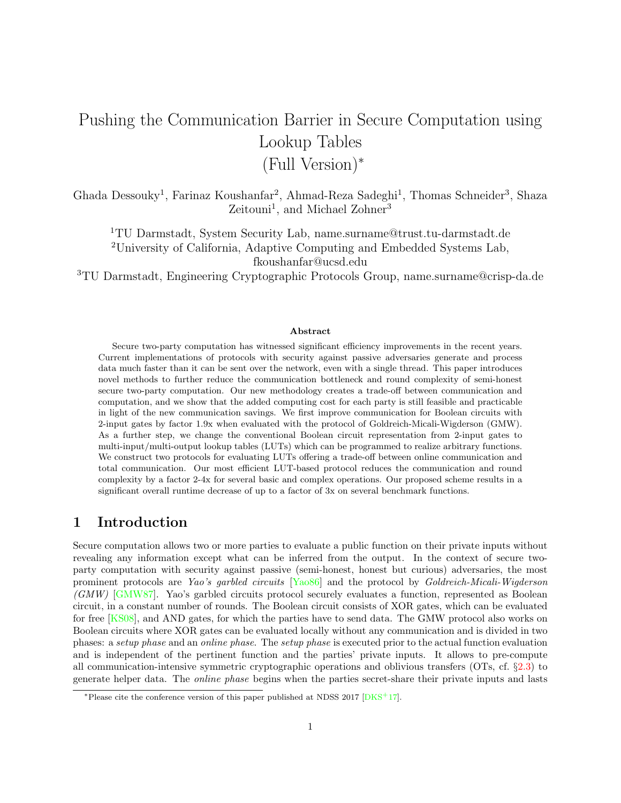# Pushing the Communication Barrier in Secure Computation using Lookup Tables (Full Version)<sup>∗</sup>

Ghada Dessouky<sup>1</sup>, Farinaz Koushanfar<sup>2</sup>, Ahmad-Reza Sadeghi<sup>1</sup>, Thomas Schneider<sup>3</sup>, Shaza Zeitouni<sup>1</sup>, and Michael Zohner<sup>3</sup>

<sup>1</sup>TU Darmstadt, System Security Lab, name.surname@trust.tu-darmstadt.de <sup>2</sup>University of California, Adaptive Computing and Embedded Systems Lab, fkoushanfar@ucsd.edu

<sup>3</sup>TU Darmstadt, Engineering Cryptographic Protocols Group, name.surname@crisp-da.de

#### Abstract

Secure two-party computation has witnessed significant efficiency improvements in the recent years. Current implementations of protocols with security against passive adversaries generate and process data much faster than it can be sent over the network, even with a single thread. This paper introduces novel methods to further reduce the communication bottleneck and round complexity of semi-honest secure two-party computation. Our new methodology creates a trade-off between communication and computation, and we show that the added computing cost for each party is still feasible and practicable in light of the new communication savings. We first improve communication for Boolean circuits with 2-input gates by factor 1.9x when evaluated with the protocol of Goldreich-Micali-Wigderson (GMW). As a further step, we change the conventional Boolean circuit representation from 2-input gates to multi-input/multi-output lookup tables (LUTs) which can be programmed to realize arbitrary functions. We construct two protocols for evaluating LUTs offering a trade-off between online communication and total communication. Our most efficient LUT-based protocol reduces the communication and round complexity by a factor 2-4x for several basic and complex operations. Our proposed scheme results in a significant overall runtime decrease of up to a factor of 3x on several benchmark functions.

## 1 Introduction

Secure computation allows two or more parties to evaluate a public function on their private inputs without revealing any information except what can be inferred from the output. In the context of secure twoparty computation with security against passive (semi-honest, honest but curious) adversaries, the most prominent protocols are Yao's garbled circuits [\[Yao86\]](#page-24-0) and the protocol by Goldreich-Micali-Wigderson (GMW) [\[GMW87\]](#page-22-0). Yao's garbled circuits protocol securely evaluates a function, represented as Boolean circuit, in a constant number of rounds. The Boolean circuit consists of XOR gates, which can be evaluated for free [\[KS08\]](#page-23-0), and AND gates, for which the parties have to send data. The GMW protocol also works on Boolean circuits where XOR gates can be evaluated locally without any communication and is divided in two phases: a setup phase and an online phase. The setup phase is executed prior to the actual function evaluation and is independent of the pertinent function and the parties' private inputs. It allows to pre-compute all communication-intensive symmetric cryptographic operations and oblivious transfers (OTs, cf. §[2.3\)](#page-3-0) to generate helper data. The online phase begins when the parties secret-share their private inputs and lasts

<sup>∗</sup>Please cite the conference version of this paper published at NDSS 2017 [\[DKS](#page-22-1)+17].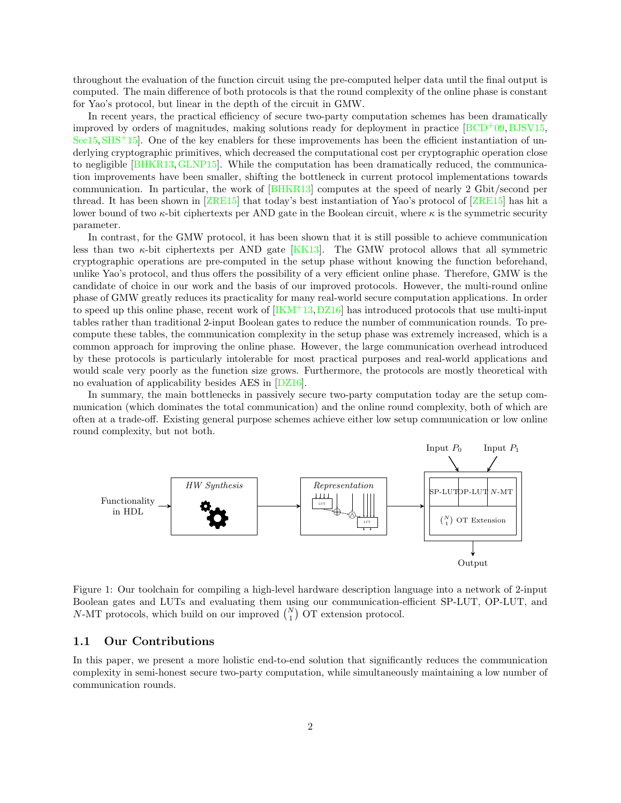throughout the evaluation of the function circuit using the pre-computed helper data until the final output is computed. The main difference of both protocols is that the round complexity of the online phase is constant for Yao's protocol, but linear in the depth of the circuit in GMW.

In recent years, the practical efficiency of secure two-party computation schemes has been dramatically improved by orders of magnitudes, making solutions ready for deployment in practice  $[BCD<sup>+</sup>09, BJSV15,$  $[BCD<sup>+</sup>09, BJSV15,$  $\text{Sec15}, \text{SHS}^+$  $\text{Sec15}, \text{SHS}^+$  $\text{Sec15}, \text{SHS}^+$ 15]. One of the key enablers for these improvements has been the efficient instantiation of underlying cryptographic primitives, which decreased the computational cost per cryptographic operation close to negligible [\[BHKR13,](#page-21-2)[GLNP15\]](#page-22-2). While the computation has been dramatically reduced, the communication improvements have been smaller, shifting the bottleneck in current protocol implementations towards communication. In particular, the work of [\[BHKR13\]](#page-21-2) computes at the speed of nearly 2 Gbit/second per thread. It has been shown in [\[ZRE15\]](#page-24-3) that today's best instantiation of Yao's protocol of [\[ZRE15\]](#page-24-3) has hit a lower bound of two  $\kappa$ -bit ciphertexts per AND gate in the Boolean circuit, where  $\kappa$  is the symmetric security parameter.

In contrast, for the GMW protocol, it has been shown that it is still possible to achieve communication less than two  $\kappa$ -bit ciphertexts per AND gate [\[KK13\]](#page-23-1). The GMW protocol allows that all symmetric cryptographic operations are pre-computed in the setup phase without knowing the function beforehand, unlike Yao's protocol, and thus offers the possibility of a very efficient online phase. Therefore, GMW is the candidate of choice in our work and the basis of our improved protocols. However, the multi-round online phase of GMW greatly reduces its practicality for many real-world secure computation applications. In order to speed up this online phase, recent work of  $[**IKM+13**,**DZ16**]$  has introduced protocols that use multi-input tables rather than traditional 2-input Boolean gates to reduce the number of communication rounds. To precompute these tables, the communication complexity in the setup phase was extremely increased, which is a common approach for improving the online phase. However, the large communication overhead introduced by these protocols is particularly intolerable for most practical purposes and real-world applications and would scale very poorly as the function size grows. Furthermore, the protocols are mostly theoretical with no evaluation of applicability besides AES in [\[DZ16\]](#page-22-3).

In summary, the main bottlenecks in passively secure two-party computation today are the setup communication (which dominates the total communication) and the online round complexity, both of which are often at a trade-off. Existing general purpose schemes achieve either low setup communication or low online round complexity, but not both.



<span id="page-1-0"></span>Figure 1: Our toolchain for compiling a high-level hardware description language into a network of 2-input Boolean gates and LUTs and evaluating them using our communication-efficient SP-LUT, OP-LUT, and N-MT protocols, which build on our improved  $\binom{N}{1}$  OT extension protocol.

## 1.1 Our Contributions

In this paper, we present a more holistic end-to-end solution that significantly reduces the communication complexity in semi-honest secure two-party computation, while simultaneously maintaining a low number of communication rounds.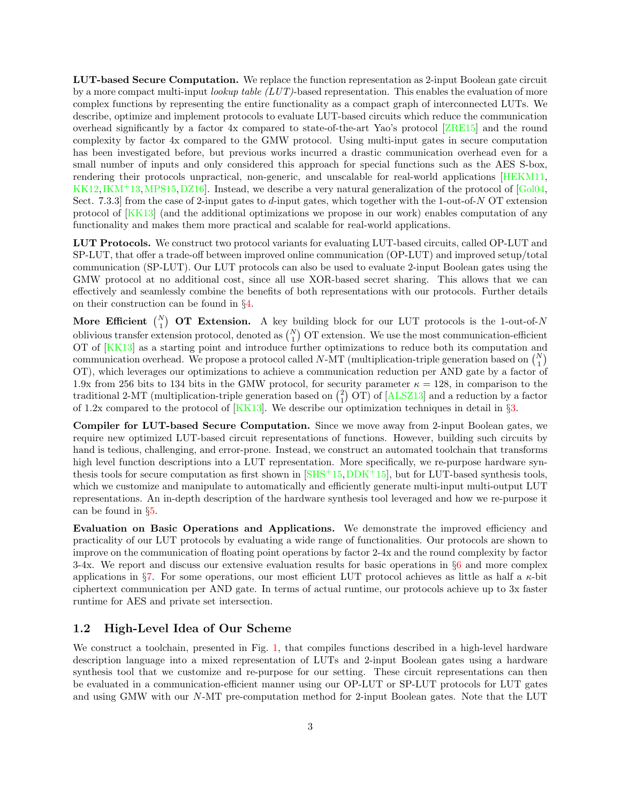LUT-based Secure Computation. We replace the function representation as 2-input Boolean gate circuit by a more compact multi-input *lookup table (LUT)*-based representation. This enables the evaluation of more complex functions by representing the entire functionality as a compact graph of interconnected LUTs. We describe, optimize and implement protocols to evaluate LUT-based circuits which reduce the communication overhead significantly by a factor 4x compared to state-of-the-art Yao's protocol [\[ZRE15\]](#page-24-3) and the round complexity by factor 4x compared to the GMW protocol. Using multi-input gates in secure computation has been investigated before, but previous works incurred a drastic communication overhead even for a small number of inputs and only considered this approach for special functions such as the AES S-box, rendering their protocols unpractical, non-generic, and unscalable for real-world applications [\[HEKM11,](#page-22-4) [KK12,](#page-23-3)[IKM](#page-23-2)<sup>+</sup>13[,MPS15,](#page-23-4)DZ16. Instead, we describe a very natural generalization of the protocol of [\[Gol04,](#page-22-5) Sect. 7.3.3] from the case of 2-input gates to d-input gates, which together with the 1-out-of-N OT extension protocol of [\[KK13\]](#page-23-1) (and the additional optimizations we propose in our work) enables computation of any functionality and makes them more practical and scalable for real-world applications.

LUT Protocols. We construct two protocol variants for evaluating LUT-based circuits, called OP-LUT and SP-LUT, that offer a trade-off between improved online communication (OP-LUT) and improved setup/total communication (SP-LUT). Our LUT protocols can also be used to evaluate 2-input Boolean gates using the GMW protocol at no additional cost, since all use XOR-based secret sharing. This allows that we can effectively and seamlessly combine the benefits of both representations with our protocols. Further details on their construction can be found in §[4.](#page-8-0)

More Efficient  $\binom{N}{1}$  OT Extension. A key building block for our LUT protocols is the 1-out-of-N oblivious transfer extension protocol, denoted as  $\binom{N}{1}$  OT extension. We use the most communication-efficient OT of [\[KK13\]](#page-23-1) as a starting point and introduce further optimizations to reduce both its computation and communication overhead. We propose a protocol called N-MT (multiplication-triple generation based on  $\binom{N}{1}$ ) OT), which leverages our optimizations to achieve a communication reduction per AND gate by a factor of 1.9x from 256 bits to 134 bits in the GMW protocol, for security parameter  $\kappa = 128$ , in comparison to the traditional 2-MT (multiplication-triple generation based on  $\binom{2}{1}$  OT) of [\[ALSZ13\]](#page-21-3) and a reduction by a factor of 1.2x compared to the protocol of  $[KK13]$ . We describe our optimization techniques in detail in §[3.](#page-5-0)

Compiler for LUT-based Secure Computation. Since we move away from 2-input Boolean gates, we require new optimized LUT-based circuit representations of functions. However, building such circuits by hand is tedious, challenging, and error-prone. Instead, we construct an automated toolchain that transforms high level function descriptions into a LUT representation. More specifically, we re-purpose hardware synthesis tools for secure computation as first shown in  $[SHS^+15, DDK^+15]$ , but for LUT-based synthesis tools, which we customize and manipulate to automatically and efficiently generate multi-input multi-output LUT representations. An in-depth description of the hardware synthesis tool leveraged and how we re-purpose it can be found in §[5.](#page-12-0)

Evaluation on Basic Operations and Applications. We demonstrate the improved efficiency and practicality of our LUT protocols by evaluating a wide range of functionalities. Our protocols are shown to improve on the communication of floating point operations by factor 2-4x and the round complexity by factor 3-4x. We report and discuss our extensive evaluation results for basic operations in §[6](#page-14-0) and more complex applications in §[7.](#page-17-0) For some operations, our most efficient LUT protocol achieves as little as half a  $\kappa$ -bit ciphertext communication per AND gate. In terms of actual runtime, our protocols achieve up to 3x faster runtime for AES and private set intersection.

## 1.2 High-Level Idea of Our Scheme

We construct a toolchain, presented in Fig. [1,](#page-1-0) that compiles functions described in a high-level hardware description language into a mixed representation of LUTs and 2-input Boolean gates using a hardware synthesis tool that we customize and re-purpose for our setting. These circuit representations can then be evaluated in a communication-efficient manner using our OP-LUT or SP-LUT protocols for LUT gates and using GMW with our N-MT pre-computation method for 2-input Boolean gates. Note that the LUT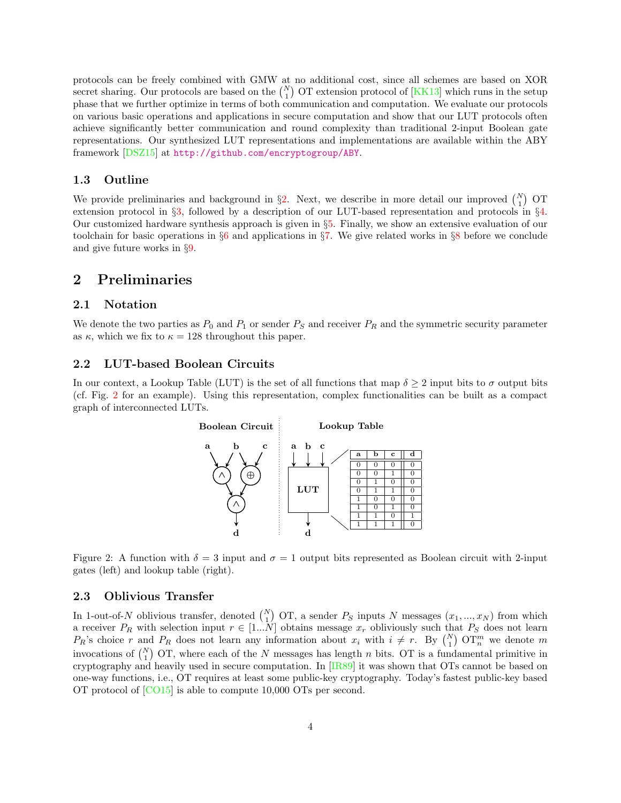protocols can be freely combined with GMW at no additional cost, since all schemes are based on XOR secret sharing. Our protocols are based on the  $\binom{N}{1}$  OT extension protocol of  $[KK13]$  which runs in the setup phase that we further optimize in terms of both communication and computation. We evaluate our protocols on various basic operations and applications in secure computation and show that our LUT protocols often achieve significantly better communication and round complexity than traditional 2-input Boolean gate representations. Our synthesized LUT representations and implementations are available within the ABY framework [\[DSZ15\]](#page-22-7) at <http://github.com/encryptogroup/ABY>.

#### 1.3 Outline

We provide preliminaries and background in  $\S2$ . Next, we describe in more detail our improved  $\binom{N}{1}$  OT extension protocol in §[3,](#page-5-0) followed by a description of our LUT-based representation and protocols in §[4.](#page-8-0) Our customized hardware synthesis approach is given in §[5.](#page-12-0) Finally, we show an extensive evaluation of our toolchain for basic operations in  $\S6$  $\S6$  and applications in  $\S7$ . We give related works in  $\S8$  $\S8$  before we conclude and give future works in §[9.](#page-20-0)

# <span id="page-3-1"></span>2 Preliminaries

## 2.1 Notation

We denote the two parties as  $P_0$  and  $P_1$  or sender  $P_S$  and receiver  $P_R$  and the symmetric security parameter as  $\kappa$ , which we fix to  $\kappa = 128$  throughout this paper.

#### 2.2 LUT-based Boolean Circuits

In our context, a Lookup Table (LUT) is the set of all functions that map  $\delta \geq 2$  input bits to  $\sigma$  output bits (cf. Fig. [2](#page-3-2) for an example). Using this representation, complex functionalities can be built as a compact graph of interconnected LUTs.



<span id="page-3-2"></span>Figure 2: A function with  $\delta = 3$  input and  $\sigma = 1$  output bits represented as Boolean circuit with 2-input gates (left) and lookup table (right).

## <span id="page-3-0"></span>2.3 Oblivious Transfer

In 1-out-of-N oblivious transfer, denoted  $\binom{N}{1}$  OT, a sender  $P_S$  inputs N messages  $(x_1, ..., x_N)$  from which a receiver  $P_R$  with selection input  $r \in [1...N]$  obtains message  $x_r$  obliviously such that  $P_S$  does not learn  $P_R$ 's choice r and  $P_R$  does not learn any information about  $x_i$  with  $i \neq r$ . By  $\binom{N}{1}$  OT<sup>m</sup> we denote m invocations of  $\binom{N}{1}$  OT, where each of the N messages has length n bits. OT is a fundamental primitive in cryptography and heavily used in secure computation. In [\[IR89\]](#page-23-5) it was shown that OTs cannot be based on one-way functions, i.e., OT requires at least some public-key cryptography. Today's fastest public-key based OT protocol of [\[CO15\]](#page-22-8) is able to compute 10,000 OTs per second.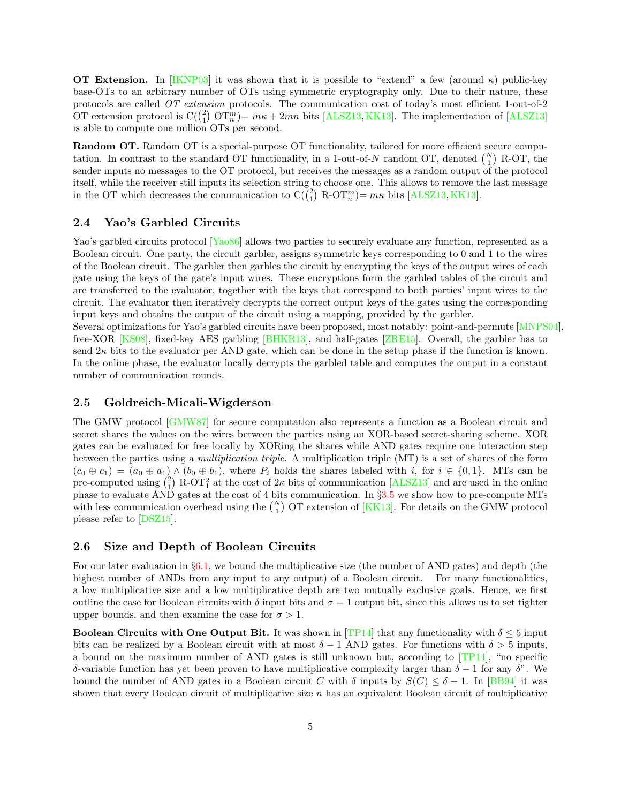**OT Extension.** In [\[IKNP03\]](#page-23-6) it was shown that it is possible to "extend" a few (around  $\kappa$ ) public-key base-OTs to an arbitrary number of OTs using symmetric cryptography only. Due to their nature, these protocols are called OT extension protocols. The communication cost of today's most efficient 1-out-of-2 OT extension protocol is  $C({\binom{2}{1} \text{ OT}_n^m}) = m\kappa + 2mn$  bits [\[ALSZ13,](#page-21-3) [KK13\]](#page-23-1). The implementation of [\[ALSZ13\]](#page-21-3) is able to compute one million OTs per second.

Random OT. Random OT is a special-purpose OT functionality, tailored for more efficient secure computation. In contrast to the standard OT functionality, in a 1-out-of-N random OT, denoted  $\binom{N}{1}$  R-OT, the sender inputs no messages to the OT protocol, but receives the messages as a random output of the protocol itself, while the receiver still inputs its selection string to choose one. This allows to remove the last message in the OT which decreases the communication to  $C(\begin{pmatrix} 2 \\ 1 \end{pmatrix}$  R-OT<sup>m</sup> $)$  =  $m\kappa$  bits [\[ALSZ13,](#page-21-3) [KK13\]](#page-23-1).

## <span id="page-4-1"></span>2.4 Yao's Garbled Circuits

Yao's garbled circuits protocol [\[Yao86\]](#page-24-0) allows two parties to securely evaluate any function, represented as a Boolean circuit. One party, the circuit garbler, assigns symmetric keys corresponding to 0 and 1 to the wires of the Boolean circuit. The garbler then garbles the circuit by encrypting the keys of the output wires of each gate using the keys of the gate's input wires. These encryptions form the garbled tables of the circuit and are transferred to the evaluator, together with the keys that correspond to both parties' input wires to the circuit. The evaluator then iteratively decrypts the correct output keys of the gates using the corresponding input keys and obtains the output of the circuit using a mapping, provided by the garbler.

Several optimizations for Yao's garbled circuits have been proposed, most notably: point-and-permute [\[MNPS04\]](#page-23-7), free-XOR [\[KS08\]](#page-23-0), fixed-key AES garbling [\[BHKR13\]](#page-21-2), and half-gates [\[ZRE15\]](#page-24-3). Overall, the garbler has to send  $2\kappa$  bits to the evaluator per AND gate, which can be done in the setup phase if the function is known. In the online phase, the evaluator locally decrypts the garbled table and computes the output in a constant number of communication rounds.

#### <span id="page-4-2"></span>2.5 Goldreich-Micali-Wigderson

The GMW protocol [\[GMW87\]](#page-22-0) for secure computation also represents a function as a Boolean circuit and secret shares the values on the wires between the parties using an XOR-based secret-sharing scheme. XOR gates can be evaluated for free locally by XORing the shares while AND gates require one interaction step between the parties using a multiplication triple. A multiplication triple (MT) is a set of shares of the form  $(c_0 \oplus c_1) = (a_0 \oplus a_1) \wedge (b_0 \oplus b_1)$ , where  $P_i$  holds the shares labeled with i, for  $i \in \{0,1\}$ . MTs can be pre-computed using  $\binom{2}{1}$  R-OT<sub>1</sub><sup>2</sup> at the cost of 2<sub>K</sub> bits of communication [\[ALSZ13\]](#page-21-3) and are used in the online phase to evaluate AND gates at the cost of 4 bits communication. In §[3.5](#page-8-1) we show how to pre-compute MTs with less communication overhead using the  $\binom{N}{1}$  OT extension of [\[KK13\]](#page-23-1). For details on the GMW protocol please refer to [\[DSZ15\]](#page-22-7).

## <span id="page-4-0"></span>2.6 Size and Depth of Boolean Circuits

For our later evaluation in §[6.1,](#page-14-1) we bound the multiplicative size (the number of AND gates) and depth (the highest number of ANDs from any input to any output) of a Boolean circuit. For many functionalities, a low multiplicative size and a low multiplicative depth are two mutually exclusive goals. Hence, we first outline the case for Boolean circuits with  $\delta$  input bits and  $\sigma = 1$  output bit, since this allows us to set tighter upper bounds, and then examine the case for  $\sigma > 1$ .

**Boolean Circuits with One Output Bit.** It was shown in [\[TP14\]](#page-24-4) that any functionality with  $\delta \leq 5$  input bits can be realized by a Boolean circuit with at most  $\delta - 1$  AND gates. For functions with  $\delta > 5$  inputs, a bound on the maximum number of AND gates is still unknown but, according to [\[TP14\]](#page-24-4), "no specific δ-variable function has yet been proven to have multiplicative complexity larger than δ − 1 for any δ". We bound the number of AND gates in a Boolean circuit C with  $\delta$  inputs by  $S(C) \leq \delta - 1$ . In [\[BB94\]](#page-21-4) it was shown that every Boolean circuit of multiplicative size  $n$  has an equivalent Boolean circuit of multiplicative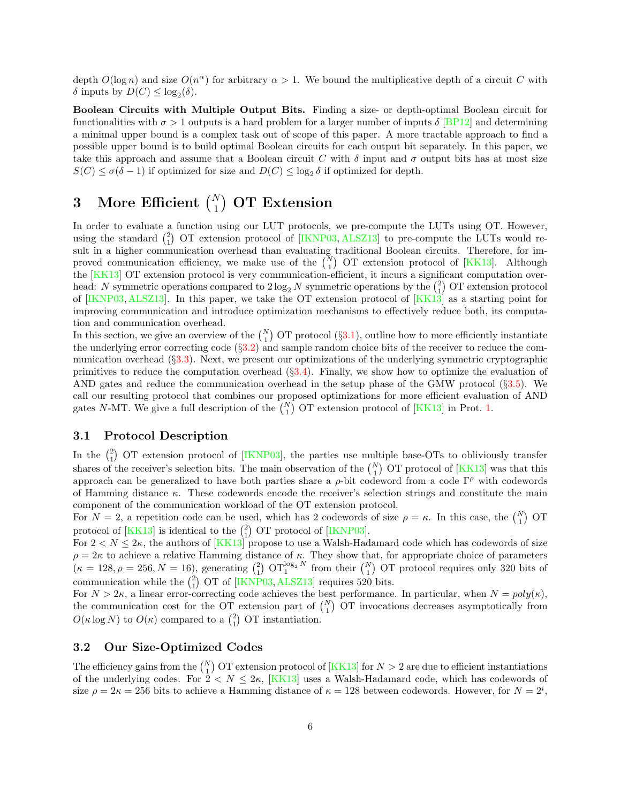depth  $O(\log n)$  and size  $O(n^{\alpha})$  for arbitrary  $\alpha > 1$ . We bound the multiplicative depth of a circuit C with δ inputs by  $D(C) \leq \log_2(δ)$ .

Boolean Circuits with Multiple Output Bits. Finding a size- or depth-optimal Boolean circuit for functionalities with  $\sigma > 1$  outputs is a hard problem for a larger number of inputs  $\delta$  [\[BP12\]](#page-21-5) and determining a minimal upper bound is a complex task out of scope of this paper. A more tractable approach to find a possible upper bound is to build optimal Boolean circuits for each output bit separately. In this paper, we take this approach and assume that a Boolean circuit C with  $\delta$  input and  $\sigma$  output bits has at most size  $S(C) \le \sigma(\delta - 1)$  if optimized for size and  $D(C) \le \log_2 \delta$  if optimized for depth.

# <span id="page-5-0"></span>3 More Efficient  $\binom{N}{1}$  OT Extension

In order to evaluate a function using our LUT protocols, we pre-compute the LUTs using OT. However, using the standard  $\binom{2}{1}$  OT extension protocol of [\[IKNP03,](#page-23-6) [ALSZ13\]](#page-21-3) to pre-compute the LUTs would result in a higher communication overhead than evaluating traditional Boolean circuits. Therefore, for improved communication efficiency, we make use of the  $\binom{N}{1}$  OT extension protocol of [\[KK13\]](#page-23-1). Although the [\[KK13\]](#page-23-1) OT extension protocol is very communication-efficient, it incurs a significant computation overhead: N symmetric operations compared to  $2 \log_2 N$  symmetric operations by the  $\binom{2}{1}$  OT extension protocol of [\[IKNP03,](#page-23-6) [ALSZ13\]](#page-21-3). In this paper, we take the OT extension protocol of [\[KK13\]](#page-23-1) as a starting point for improving communication and introduce optimization mechanisms to effectively reduce both, its computation and communication overhead.

In this section, we give an overview of the  $\binom{N}{1}$  OT protocol (§[3.1\)](#page-5-1), outline how to more efficiently instantiate the underlying error correcting code (§[3.2\)](#page-5-2) and sample random choice bits of the receiver to reduce the communication overhead (§[3.3\)](#page-6-0). Next, we present our optimizations of the underlying symmetric cryptographic primitives to reduce the computation overhead  $(\S 3.4)$  $(\S 3.4)$ . Finally, we show how to optimize the evaluation of AND gates and reduce the communication overhead in the setup phase of the GMW protocol (§[3.5\)](#page-8-1). We call our resulting protocol that combines our proposed optimizations for more efficient evaluation of AND gates N-MT. We give a full description of the  $\binom{N}{1}$  OT extension protocol of [\[KK13\]](#page-23-1) in Prot. [1.](#page-6-1)

## <span id="page-5-1"></span>3.1 Protocol Description

In the  $\binom{2}{1}$  OT extension protocol of [\[IKNP03\]](#page-23-6), the parties use multiple base-OTs to obliviously transfer shares of the receiver's selection bits. The main observation of the  $\binom{N}{1}$  OT protocol of [\[KK13\]](#page-23-1) was that this approach can be generalized to have both parties share a  $\rho$ -bit codeword from a code  $\Gamma^{\rho}$  with codewords of Hamming distance  $\kappa$ . These codewords encode the receiver's selection strings and constitute the main component of the communication workload of the OT extension protocol.

For  $N=2$ , a repetition code can be used, which has 2 codewords of size  $\rho = \kappa$ . In this case, the  $\binom{N}{1}$  OT protocol of  $[KK13]$  is identical to the  $\binom{2}{1}$  OT protocol of [\[IKNP03\]](#page-23-6).

For  $2 < N \leq 2\kappa$ , the authors of [\[KK13\]](#page-23-1) propose to use a Walsh-Hadamard code which has codewords of size  $\rho = 2\kappa$  to achieve a relative Hamming distance of  $\kappa$ . They show that, for appropriate choice of parameters  $\kappa = 128, \rho = 256, N = 16$ , generating  $\binom{2}{1}$   $\text{OT}_1^{\log_2 N}$  from their  $\binom{N}{1}$  OT protocol requires only 320 bits of communication while the  $\binom{2}{1}$  OT of [\[IKNP03,](#page-23-6) [ALSZ13\]](#page-21-3) requires 520 bits.

For  $N > 2\kappa$ , a linear error-correcting code achieves the best performance. In particular, when  $N = poly(\kappa)$ , the communication cost for the OT extension part of  $\binom{N}{1}$  OT invocations decreases asymptotically from  $O(\kappa \log N)$  to  $O(\kappa)$  compared to a  $\binom{2}{1}$  OT instantiation.

## <span id="page-5-2"></span>3.2 Our Size-Optimized Codes

The efficiency gains from the  $\binom{N}{1}$  OT extension protocol of [\[KK13\]](#page-23-1) for  $N > 2$  are due to efficient instantiations of the underlying codes. For  $2 < N \leq 2\kappa$ , [\[KK13\]](#page-23-1) uses a Walsh-Hadamard code, which has codewords of size  $\rho = 2\kappa = 256$  bits to achieve a Hamming distance of  $\kappa = 128$  between codewords. However, for  $N = 2^i$ ,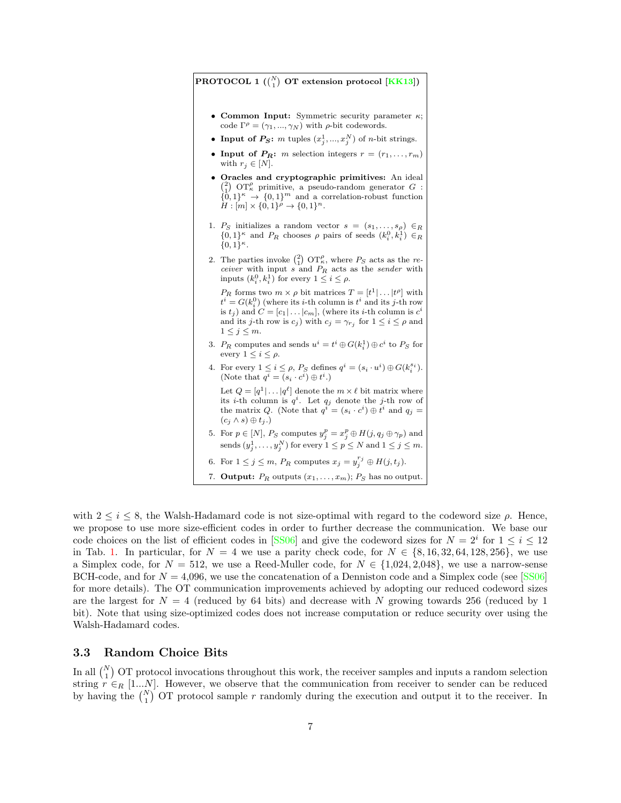## <span id="page-6-1"></span> ${\rm PROTOCOL}$   $1$   $\binom{N}{1}$   ${\rm OT}$  extension protocol  ${\rm [KK13]}$  ${\rm [KK13]}$  ${\rm [KK13]}$ )

- Common Input: Symmetric security parameter  $\kappa$ ; code  $\Gamma^{\rho} = (\gamma_1, ..., \gamma_N)$  with  $\rho$ -bit codewords.
- Input of  $P_S: m$  tuples  $(x_j^1, ..., x_j^N)$  of *n*-bit strings.
- Input of  $P_R$ : *m* selection integers  $r = (r_1, \ldots, r_m)$ with  $r_j \in [N]$ .
- Oracles and cryptographic primitives: An ideal  $\binom{2}{1}$  OT<sub> $k$ </sub> primitive, a pseudo-random generator G :  $\{0,1\}^k \rightarrow \{0,1\}^m$  and a correlation-robust function  $H: [m] \times \{0,1\}^{\rho} \rightarrow \{0,1\}^n$ .
- 1. Ps initializes a random vector  $s = (s_1, \ldots, s_\rho) \in_R$  $\{0,1\}^{\kappa}$  and  $P_R$  chooses  $\rho$  pairs of seeds  $(k_i^0, k_i^1) \in_R$  ${0,1}^{\kappa}.$
- <span id="page-6-2"></span>2. The parties invoke  $\binom{2}{1}$  OT<sub> $k$ </sub>, where  $P_S$  acts as the re*ceiver* with input s and  $P_R$  acts as the sender with inputs  $(k_i^0, k_i^1)$  for every  $1 \leq i \leq \rho$ .

 $P_R$  forms two  $m \times \rho$  bit matrices  $T = [t^1 | \dots | t^{\rho}]$  with  $t^i = G(k_i^0)$  (where its *i*-th column is  $t^i$  and its *j*-th row is  $t_j$ ) and  $C = [c_1 | \dots | c_m]$ , (where its *i*-th column is  $c^i$ and its *j*-th row is  $c_j$ ) with  $c_j = \gamma_{r_j}$  for  $1 \leq i \leq \rho$  and  $1 \leq j \leq m$ .

- <span id="page-6-3"></span>3.  $P_R$  computes and sends  $u^i = t^i \oplus G(k_i^1) \oplus c^i$  to  $P_S$  for every  $1 \leq i \leq \rho$ .
- <span id="page-6-4"></span>4. For every  $1 \leq i \leq \rho$ ,  $P_S$  defines  $q^i = (s_i \cdot u^i) \oplus G(k_i^{s_i})$ . (Note that  $q^i = (s_i \cdot c^i) \oplus t^i$ .) Let  $Q = [q^1 | \dots | q^{\ell}]$  denote the  $m \times \ell$  bit matrix where its *i*-th column is  $q^i$ . Let  $q_j$  denote the *j*-th row of the matrix Q. (Note that  $q^{i} = (s_i \cdot c^i) \oplus t^i$  and  $q_j =$  $(c_j \wedge s) \oplus t_j$ .)
- <span id="page-6-5"></span>5. For  $p \in [N]$ ,  $P_S$  computes  $y_j^p = x_j^p \oplus H(j, q_j \oplus \gamma_p)$  and sends  $(y_j^1, \ldots, y_j^N)$  for every  $1 \le p \le N$  and  $1 \le j \le m$ .
- <span id="page-6-6"></span>6. For  $1 \leq j \leq m$ ,  $P_R$  computes  $x_j = y_j^{r_j} \oplus H(j, t_j)$ .
- 7. **Output:**  $P_R$  outputs  $(x_1, \ldots, x_m)$ ;  $P_S$  has no output.

with  $2 \leq i \leq 8$ , the Walsh-Hadamard code is not size-optimal with regard to the codeword size  $\rho$ . Hence, we propose to use more size-efficient codes in order to further decrease the communication. We base our code choices on the list of efficient codes in [\[SS06\]](#page-24-5) and give the codeword sizes for  $N = 2^i$  for  $1 \le i \le 12$ in Tab. [1.](#page-7-1) In particular, for  $N = 4$  we use a parity check code, for  $N \in \{8, 16, 32, 64, 128, 256\}$ , we use a Simplex code, for  $N = 512$ , we use a Reed-Muller code, for  $N \in \{1,024, 2,048\}$ , we use a narrow-sense BCH-code, and for  $N = 4,096$ , we use the concatenation of a Denniston code and a Simplex code (see [\[SS06\]](#page-24-5) for more details). The OT communication improvements achieved by adopting our reduced codeword sizes are the largest for  $N = 4$  (reduced by 64 bits) and decrease with N growing towards 256 (reduced by 1 bit). Note that using size-optimized codes does not increase computation or reduce security over using the Walsh-Hadamard codes.

## <span id="page-6-0"></span>3.3 Random Choice Bits

In all  $\binom{N}{1}$  OT protocol invocations throughout this work, the receiver samples and inputs a random selection string  $r \in_R [1...N]$ . However, we observe that the communication from receiver to sender can be reduced by having the  $\binom{N}{1}$  OT protocol sample r randomly during the execution and output it to the receiver. In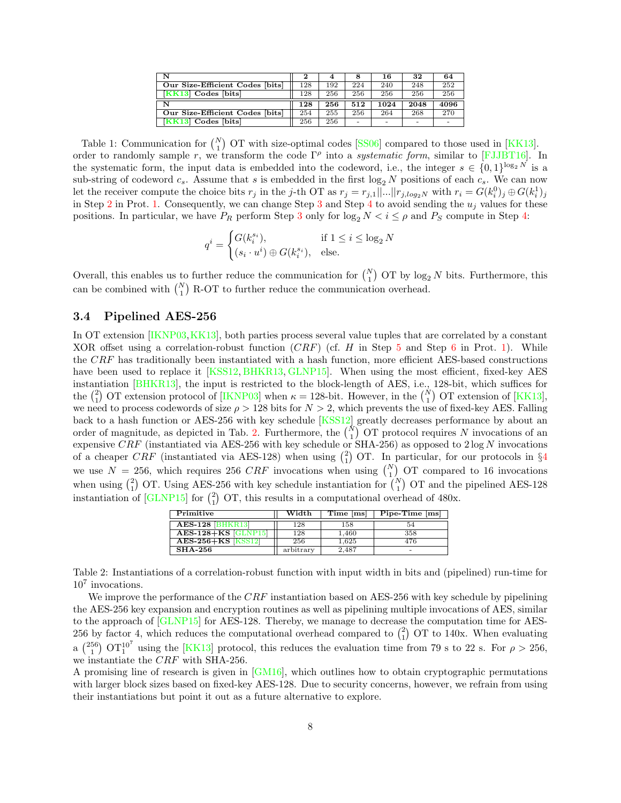| N                               | $\bf{2}$ |     |     | 16   | 32   | 64   |
|---------------------------------|----------|-----|-----|------|------|------|
| Our Size-Efficient Codes [bits] | 128      | 192 | 224 | 240  | 248  | 252  |
| $KK13$ Codes [bits]             | 128      | 256 | 256 | 256  | 256  | 256  |
| N                               | 128      | 256 | 512 | 1024 | 2048 | 4096 |
| Our Size-Efficient Codes [bits] | 254      | 255 | 256 | 264  | 268  | 270  |
| $KK13$ Codes [bits]             | 256      | 256 | -   | -    |      | -    |

<span id="page-7-1"></span>Table 1: Communication for  $\binom{N}{1}$  OT with size-optimal codes [\[SS06\]](#page-24-5) compared to those used in [\[KK13\]](#page-23-1). order to randomly sample r, we transform the code  $\Gamma^{\rho}$  into a *systematic form*, similar to [\[FJJBT16\]](#page-22-9). In the systematic form, the input data is embedded into the codeword, i.e., the integer  $s \in \{0,1\}^{\log_2 N}$  is a sub-string of codeword  $c_s$ . Assume that s is embedded in the first  $\log_2 N$  positions of each  $c_s$ . We can now let the receiver compute the choice bits  $r_j$  in the j-th OT as  $r_j = r_{j,1}||...||r_{j,log_2N}$  with  $r_i = G(k_i^0)_j \oplus G(k_i^1)_j$ in Step [2](#page-6-2) in Prot. [1.](#page-6-1) Consequently, we can change Step [3](#page-6-3) and Step [4](#page-6-4) to avoid sending the  $u_j$  values for these positions. In particular, we have  $P_R$  perform Step [3](#page-6-3) only for  $\log_2 N < i \leq \rho$  and  $P_S$  compute in Step [4:](#page-6-4)

$$
q^{i} = \begin{cases} G(k_i^{s_i}), & \text{if } 1 \le i \le \log_2 N \\ (s_i \cdot u^i) \oplus G(k_i^{s_i}), & \text{else.} \end{cases}
$$

Overall, this enables us to further reduce the communication for  $\binom{N}{1}$  OT by log<sub>2</sub> N bits. Furthermore, this can be combined with  $\binom{N}{1}$  R-OT to further reduce the communication overhead.

## <span id="page-7-0"></span>3.4 Pipelined AES-256

In OT extension [\[IKNP03,](#page-23-6)[KK13\]](#page-23-1), both parties process several value tuples that are correlated by a constant XOR offset using a correlation-robust function  $(CRF)$  (cf. H in Step [5](#page-6-5) and Step [6](#page-6-6) in Prot. [1\)](#page-6-1). While the CRF has traditionally been instantiated with a hash function, more efficient AES-based constructions have been used to replace it [\[KSS12,](#page-23-8) [BHKR13,](#page-21-2) [GLNP15\]](#page-22-2). When using the most efficient, fixed-key AES instantiation [\[BHKR13\]](#page-21-2), the input is restricted to the block-length of AES, i.e., 128-bit, which suffices for the  $\binom{2}{1}$  OT extension protocol of [\[IKNP03\]](#page-23-6) when  $\kappa = 128$ -bit. However, in the  $\binom{N}{1}$  OT extension of [\[KK13\]](#page-23-1), we need to process codewords of size  $\rho > 128$  bits for  $N > 2$ , which prevents the use of fixed-key AES. Falling back to a hash function or AES-256 with key schedule [\[KSS12\]](#page-23-8) greatly decreases performance by about an order of magnitude, as depicted in Tab. [2.](#page-7-2) Furthermore, the  $\binom{N}{1}$  OT protocol requires N invocations of an expensive CRF (instantiated via AES-256 with key schedule or SHA-256) as opposed to  $2 \log N$  invocations of a cheaper CRF (instantiated via AES-128) when using  $\binom{2}{1}$  OT. In particular, for our protocols in §[4](#page-8-0) we use  $N = 256$ , which requires 256 CRF invocations when using  $\binom{N}{1}$  OT compared to 16 invocations when using  $\binom{2}{1}$  OT. Using AES-256 with key schedule instantiation for  $\binom{N}{1}$  OT and the pipelined AES-128 instantiation of  $\boxed{\text{GLNP15}}$  for  $\binom{2}{1}$  OT, this results in a computational overhead of 480x.

| Primitive                 | Width     | Time [ms] | Pipe-Time [ms] |
|---------------------------|-----------|-----------|----------------|
| <b>AES-128 [BHKR13]</b>   | 128       | 158       | 54             |
| $AES-128+KS$ $GLNP15$     | 128       | 1.460     | 358            |
| <b>AES-256+KS [KSS12]</b> | 256       | 1.625     | 476            |
| <b>SHA-256</b>            | arbitrary | 2.487     |                |

<span id="page-7-2"></span>Table 2: Instantiations of a correlation-robust function with input width in bits and (pipelined) run-time for 10<sup>7</sup> invocations.

We improve the performance of the  $CRF$  instantiation based on AES-256 with key schedule by pipelining the AES-256 key expansion and encryption routines as well as pipelining multiple invocations of AES, similar to the approach of [\[GLNP15\]](#page-22-2) for AES-128. Thereby, we manage to decrease the computation time for AES-256 by factor 4, which reduces the computational overhead compared to  $\binom{2}{1}$  OT to 140x. When evaluating a  $\binom{256}{1}$  OT $1^{10^7}$  using the [\[KK13\]](#page-23-1) protocol, this reduces the evaluation time from 79 s to 22 s. For  $\rho > 256$ , we instantiate the CRF with SHA-256.

A promising line of research is given in [\[GM16\]](#page-22-10), which outlines how to obtain cryptographic permutations with larger block sizes based on fixed-key AES-128. Due to security concerns, however, we refrain from using their instantiations but point it out as a future alternative to explore.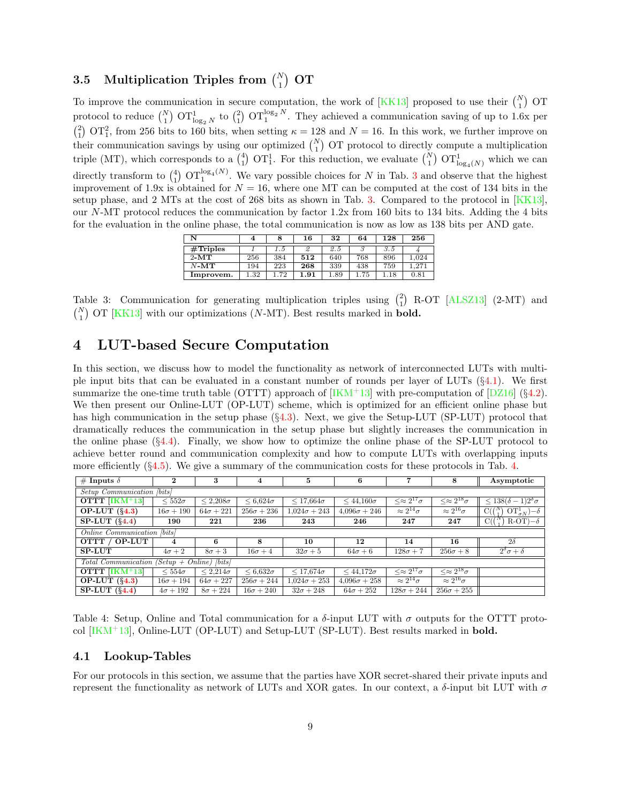# <span id="page-8-1"></span> $3.5 \quad \text{Multiplication Triples from } \binom{N}{1} \text{ OT}$

To improve the communication in secure computation, the work of [\[KK13\]](#page-23-1) proposed to use their  $\binom{N}{1}$  OT protocol to reduce  $\binom{N}{1}$   $\text{OT}^1_{\log_2 N}$  to  $\binom{2}{1}$   $\text{OT}^{\log_2 N}$ . They achieved a communication saving of up to 1.6x per  $\binom{2}{1}$  OT<sub>1</sub>, from 256 bits to 160 bits, when setting  $\kappa = 128$  and  $N = 16$ . In this work, we further improve on their communication savings by using our optimized  $\binom{N}{1}$  OT protocol to directly compute a multiplication triple (MT), which corresponds to a  $\binom{4}{1}$  OT<sub>1</sub>. For this reduction, we evaluate  $\binom{N}{1}$  OT<sub>1<sub>0g<sub>4</sub>(N)</sub> which we can</sub> directly transform to  $\binom{4}{1}$   $\text{OT}_1^{\log_4(N)}$ . We vary possible choices for N in Tab. [3](#page-8-2) and observe that the highest improvement of 1.9x is obtained for  $N = 16$ , where one MT can be computed at the cost of 134 bits in the setup phase, and 2 MTs at the cost of 268 bits as shown in Tab. [3.](#page-8-2) Compared to the protocol in [\[KK13\]](#page-23-1), our N-MT protocol reduces the communication by factor 1.2x from 160 bits to 134 bits. Adding the 4 bits for the evaluation in the online phase, the total communication is now as low as 138 bits per AND gate.

| N           | 4    |     | 16   | 32   | 64  | 128 | 256  |
|-------------|------|-----|------|------|-----|-----|------|
| $#$ Triples |      | 1.5 | 2    | 2.5  |     | 3.5 |      |
| $2-MT$      | 256  | 384 | 512  | 640  | 768 | 896 | .024 |
| $N-MT$      | 194  | 223 | 268  | 339  | 438 | 759 | .271 |
| Improvem.   | 1.32 | .72 | 1.91 | . 89 | 75  | 18  | 0.81 |

<span id="page-8-2"></span>Table 3: Communication for generating multiplication triples using  $\binom{2}{1}$  R-OT [\[ALSZ13\]](#page-21-3) (2-MT) and  $\binom{N}{1}$  OT [\[KK13\]](#page-23-1) with our optimizations (N-MT). Best results marked in **bold.** 

# <span id="page-8-0"></span>4 LUT-based Secure Computation

In this section, we discuss how to model the functionality as network of interconnected LUTs with multiple input bits that can be evaluated in a constant number of rounds per layer of LUTs  $(\S 4.1)$  $(\S 4.1)$ . We first summarize the one-time truth table (OTTT) approach of  $[KM+13]$  with pre-computation of  $[DZ16]$  (§[4.2\)](#page-9-0). We then present our Online-LUT (OP-LUT) scheme, which is optimized for an efficient online phase but has high communication in the setup phase  $(\S 4.3)$  $(\S 4.3)$ . Next, we give the Setup-LUT (SP-LUT) protocol that dramatically reduces the communication in the setup phase but slightly increases the communication in the online phase  $(\S4.4)$  $(\S4.4)$ . Finally, we show how to optimize the online phase of the SP-LUT protocol to achieve better round and communication complexity and how to compute LUTs with overlapping inputs more efficiently  $(\S 4.5)$  $(\S 4.5)$ . We give a summary of the communication costs for these protocols in Tab. [4.](#page-8-4)

| # Inputs $\delta$                          | $\mathbf 2$                | 3                                     | 4                  | 5                   | 6                   | ▼                                       | 8                                       | Asymptotic                                                 |  |  |  |  |  |  |  |
|--------------------------------------------|----------------------------|---------------------------------------|--------------------|---------------------|---------------------|-----------------------------------------|-----------------------------------------|------------------------------------------------------------|--|--|--|--|--|--|--|
|                                            | Setup Communication [bits] |                                       |                    |                     |                     |                                         |                                         |                                                            |  |  |  |  |  |  |  |
| $\overline{\text{OTTT}   \text{IKM}^+}$ 13 | $\leq 552\sigma$           | $\leq 2.208\sigma$                    | $\leq 6.624\sigma$ | $\leq 17.664\sigma$ | $\leq 44,160\sigma$ | $\langle \approx 2^{17} \sigma \rangle$ | $\langle \approx 2^{18} \sigma \rangle$ | $\langle 138(\delta-1)2^{\delta}\sigma \rangle$            |  |  |  |  |  |  |  |
| OP-LUT $(\S4.3)$                           | $16\sigma + 190$           | $64\sigma + 221$                      | $256\sigma + 236$  | $1.024\sigma + 243$ | $4.096\sigma + 246$ | $\approx 2^{14}\sigma$                  | $\approx 2^{16}\sigma$                  | $\mathrm{OT}_{\sigma N}^1$ )- $\delta$<br>$C(\binom{N}{3}$ |  |  |  |  |  |  |  |
| $SP-LUT (§4.4)$                            | 190                        | 221                                   | 236                | 243                 | 246                 | 247                                     | 247                                     | $R-OT$ ) $-\delta$<br>$C((\frac{N}{2})^n)$                 |  |  |  |  |  |  |  |
| Online Communication [bits]                |                            |                                       |                    |                     |                     |                                         |                                         |                                                            |  |  |  |  |  |  |  |
| $\overline{\text{OTT } \wedge}$ OP-LUT     | 4                          | 6                                     | 8                  | 10                  | 12                  | 14                                      | 16                                      | $2\delta$                                                  |  |  |  |  |  |  |  |
| <b>SP-LUT</b>                              | $4\sigma + 2$              | $8\sigma+3$                           | $16\sigma + 4$     | $32\sigma+5$        | $64\sigma+6$        | $128\sigma+7$                           | $256\sigma+8$                           | $2^{\delta}\sigma+\delta$                                  |  |  |  |  |  |  |  |
| <b>Total Communication</b>                 |                            | $\text{Setup} + \text{Online}$ [bits] |                    |                     |                     |                                         |                                         |                                                            |  |  |  |  |  |  |  |
| OTTT $[IKM+13]$                            | $< 554\sigma$              | $\leq 2.214\sigma$                    | $\leq 6.632\sigma$ | $< 17.674\sigma$    | $<$ 44,172 $\sigma$ | $\alpha \approx 2^{17} \sigma$          | $\ll \approx 2^{18} \sigma$             |                                                            |  |  |  |  |  |  |  |
| OP-LUT $(\S4.3)$                           | $16\sigma + 194$           | $64\sigma + 227$                      | $256\sigma + 244$  | $1.024\sigma + 253$ | $4.096\sigma + 258$ | $\approx 2^{14} \sigma$                 | $\approx 2^{16}\sigma$                  |                                                            |  |  |  |  |  |  |  |
| $SP-LUT(§4.4)$                             | $4\sigma + 192$            | $8\sigma + 224$                       | $16\sigma + 240$   | $32\sigma + 248$    | $64\sigma + 252$    | $128\sigma + 244$                       | $256\sigma + 255$                       |                                                            |  |  |  |  |  |  |  |

<span id="page-8-4"></span>Table 4: Setup, Online and Total communication for a  $\delta$ -input LUT with  $\sigma$  outputs for the OTTT protocol  $[IKM+13]$ , Online-LUT (OP-LUT) and Setup-LUT (SP-LUT). Best results marked in **bold.** 

### <span id="page-8-3"></span>4.1 Lookup-Tables

For our protocols in this section, we assume that the parties have XOR secret-shared their private inputs and represent the functionality as network of LUTs and XOR gates. In our context, a δ-input bit LUT with σ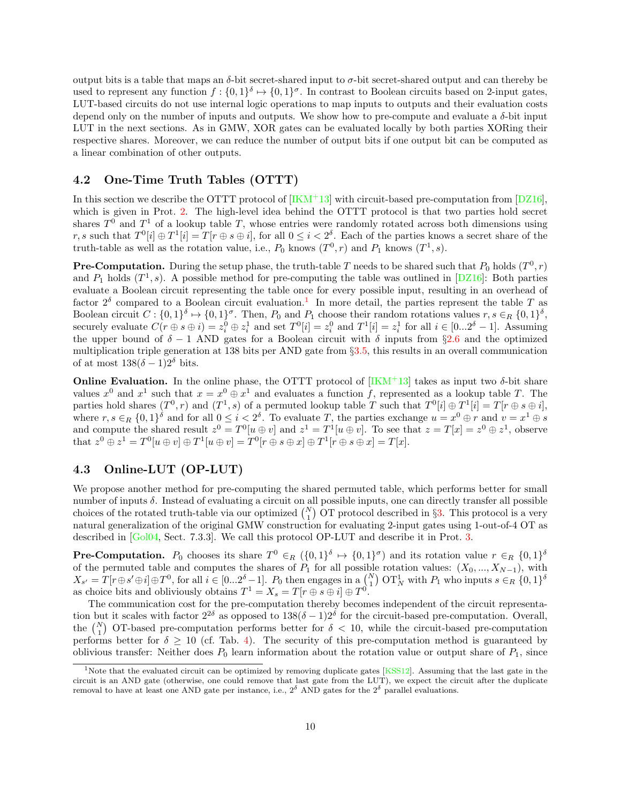output bits is a table that maps an  $\delta$ -bit secret-shared input to  $\sigma$ -bit secret-shared output and can thereby be used to represent any function  $f: \{0,1\}^\delta \mapsto \{0,1\}^\sigma$ . In contrast to Boolean circuits based on 2-input gates, LUT-based circuits do not use internal logic operations to map inputs to outputs and their evaluation costs depend only on the number of inputs and outputs. We show how to pre-compute and evaluate a  $\delta$ -bit input LUT in the next sections. As in GMW, XOR gates can be evaluated locally by both parties XORing their respective shares. Moreover, we can reduce the number of output bits if one output bit can be computed as a linear combination of other outputs.

## <span id="page-9-0"></span>4.2 One-Time Truth Tables (OTTT)

In this section we describe the OTTT protocol of  $[IKM+13]$  with circuit-based pre-computation from  $[DZ16]$ , which is given in Prot. [2.](#page-10-2) The high-level idea behind the OTTT protocol is that two parties hold secret shares  $T^0$  and  $T^1$  of a lookup table T, whose entries were randomly rotated across both dimensions using r, s such that  $T^0[i] \oplus T^1[i] = T[r \oplus s \oplus i]$ , for all  $0 \leq i < 2^{\delta}$ . Each of the parties knows a secret share of the truth-table as well as the rotation value, i.e.,  $P_0$  knows  $(T^0, r)$  and  $P_1$  knows  $(T^1, s)$ .

**Pre-Computation.** During the setup phase, the truth-table T needs to be shared such that  $P_0$  holds  $(T^0, r)$ and  $P_1$  holds  $(T^1, s)$ . A possible method for pre-computing the table was outlined in [\[DZ16\]](#page-22-3): Both parties evaluate a Boolean circuit representing the table once for every possible input, resulting in an overhead of factor  $2^{\delta}$  compared to a Boolean circuit evaluation.<sup>[1](#page-9-2)</sup> In more detail, the parties represent the table T as Boolean circuit  $C: \{0,1\}^{\delta} \mapsto \{0,1\}^{\sigma}$ . Then,  $P_0$  and  $P_1$  choose their random rotations values  $r, s \in_R \{0,1\}^{\delta}$ , securely evaluate  $C(r \oplus s \oplus i) = z_i^0 \oplus z_i^1$  and set  $T^0[i] = z_i^0$  and  $T^1[i] = z_i^1$  for all  $i \in [0...2^{\delta} - 1]$ . Assuming the upper bound of  $\delta - 1$  AND gates for a Boolean circuit with  $\delta$  inputs from §[2.6](#page-4-0) and the optimized multiplication triple generation at 138 bits per AND gate from §[3.5,](#page-8-1) this results in an overall communication of at most  $138(\delta - 1)2^{\delta}$  bits.

**Online Evaluation.** In the online phase, the OTTT protocol of  $[IKM^+13]$  takes as input two  $\delta$ -bit share values  $x^0$  and  $x^1$  such that  $x = x^0 \oplus x^1$  and evaluates a function f, represented as a lookup table T. The parties hold shares  $(T^0, r)$  and  $(T^1, s)$  of a permuted lookup table T such that  $T^0[i] \oplus T^1[i] = T[r \oplus s \oplus i]$ , where  $r, s \in_R \{0,1\}^{\delta}$  and for all  $0 \leq i < 2^{\delta}$ . To evaluate T, the parties exchange  $u = x^0 \oplus r$  and  $v = x^1 \oplus s$ and compute the shared result  $z^0 = T^0[u \oplus v]$  and  $z^1 = T^1[u \oplus v]$ . To see that  $z = T[x] = z^0 \oplus z^1$ , observe that  $z^0 \oplus z^1 = T^0[u \oplus v] \oplus T^1[u \oplus v] = T^0[r \oplus s \oplus x] \oplus T^1[r \oplus s \oplus x] = T[x]$ .

## <span id="page-9-1"></span>4.3 Online-LUT (OP-LUT)

We propose another method for pre-computing the shared permuted table, which performs better for small number of inputs δ. Instead of evaluating a circuit on all possible inputs, one can directly transfer all possible choices of the rotated truth-table via our optimized  $\binom{N}{1}$  OT protocol described in §[3.](#page-5-0) This protocol is a very natural generalization of the original GMW construction for evaluating 2-input gates using 1-out-of-4 OT as described in [\[Gol04,](#page-22-5) Sect. 7.3.3]. We call this protocol OP-LUT and describe it in Prot. [3.](#page-11-0)

**Pre-Computation.**  $P_0$  chooses its share  $T^0 \in_R (\{0,1\}^{\delta} \mapsto \{0,1\}^{\sigma})$  and its rotation value  $r \in_R \{0,1\}^{\delta}$ of the permuted table and computes the shares of  $P_1$  for all possible rotation values:  $(X_0, ..., X_{N-1})$ , with  $X_{s'} = T[r \oplus s' \oplus i] \oplus T^0$ , for all  $i \in [0...2^{\delta}-1]$ .  $P_0$  then engages in a  $\binom{N}{1}$  OT<sub>N</sub> with  $P_1$  who inputs  $s \in_R \{0,1\}^{\delta}$ as choice bits and obliviously obtains  $T^1 = X_s = T[r \oplus s \oplus i] \oplus T^0$ .

The communication cost for the pre-computation thereby becomes independent of the circuit representation but it scales with factor  $2^{2\delta}$  as opposed to  $138(\delta-1)2^{\delta}$  for the circuit-based pre-computation. Overall, the  $\binom{N}{1}$  OT-based pre-computation performs better for  $\delta$  < 10, while the circuit-based pre-computation performs better for  $\delta \geq 10$  (cf. Tab. [4\)](#page-8-4). The security of this pre-computation method is guaranteed by oblivious transfer: Neither does  $P_0$  learn information about the rotation value or output share of  $P_1$ , since

<span id="page-9-2"></span><sup>&</sup>lt;sup>1</sup>Note that the evaluated circuit can be optimized by removing duplicate gates [\[KSS12\]](#page-23-8). Assuming that the last gate in the circuit is an AND gate (otherwise, one could remove that last gate from the LUT), we expect the circuit after the duplicate removal to have at least one AND gate per instance, i.e.,  $2^{\delta}$  AND gates for the  $2^{\delta}$  parallel evaluations.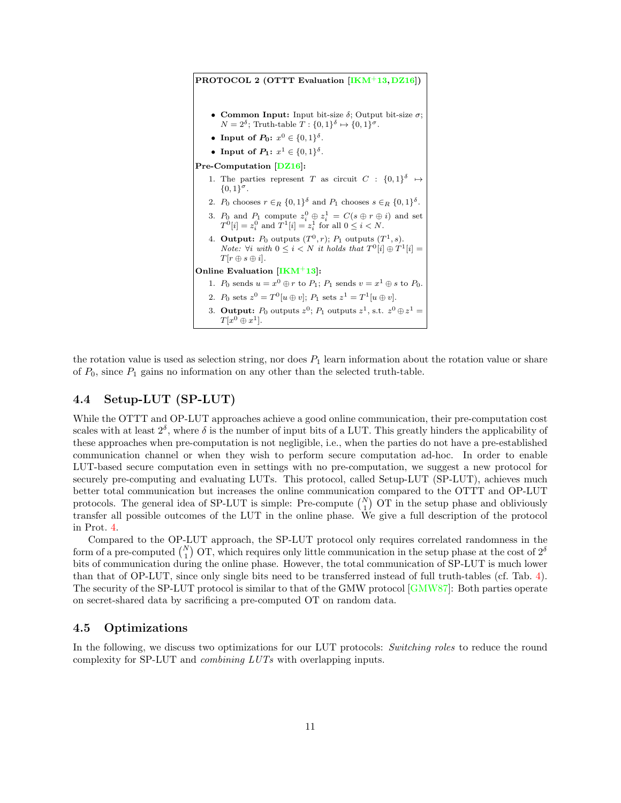<span id="page-10-2"></span>PROTOCOL 2 (OTTT Evaluation [\[IKM](#page-23-2)+13, [DZ16\]](#page-22-3)) **Common Input:** Input bit-size δ; Output bit-size  $σ$ ;  $N = 2^{\delta}$ ; Truth-table  $T : \{0,1\}^{\delta} \mapsto \{0,1\}^{\sigma}$ . • Input of  $P_0: x^0 \in \{0,1\}^{\delta}$ . • Input of  $P_1: x^1 \in \{0,1\}^{\delta}$ . Pre-Computation [\[DZ16\]](#page-22-3): 1. The parties represent T as circuit  $C : \{0,1\}^{\delta} \mapsto$  ${0,1}^{\sigma}.$ 2.  $P_0$  chooses  $r \in_R \{0,1\}^{\delta}$  and  $P_1$  chooses  $s \in_R \{0,1\}^{\delta}$ . 3.  $P_0$  and  $P_1$  compute  $z_i^0 \oplus z_i^1 = C(s \oplus r \oplus i)$  and set  $T^0[i] = z_i^0$  and  $T^1[i] = z_i^1$  for all  $0 \le i \le N$ . 4. Output:  $P_0$  outputs  $(T^0, r)$ ;  $P_1$  outputs  $(T^1, s)$ . *Note:*  $\forall i \text{ with } 0 \leq i < N \text{ it holds that } T^0[i] \oplus T^1[i] =$  $T[r \oplus s \oplus i].$ Online Evaluation  $[**IKM**<sup>+</sup>13]:$ 1.  $P_0$  sends  $u = x^0 \oplus r$  to  $P_1$ ;  $P_1$  sends  $v = x^1 \oplus s$  to  $P_0$ . 2.  $P_0$  sets  $z^0 = T^0[u \oplus v]$ ;  $P_1$  sets  $z^1 = T^1[u \oplus v]$ . 3. Output:  $P_0$  outputs  $z^0$ ;  $P_1$  outputs  $z^1$ , s.t.  $z^0 \oplus z^1 =$  $T[x^0 \oplus x^1]$ .

the rotation value is used as selection string, nor does  $P_1$  learn information about the rotation value or share of  $P_0$ , since  $P_1$  gains no information on any other than the selected truth-table.

## <span id="page-10-0"></span>4.4 Setup-LUT (SP-LUT)

While the OTTT and OP-LUT approaches achieve a good online communication, their pre-computation cost scales with at least  $2^{\delta}$ , where  $\delta$  is the number of input bits of a LUT. This greatly hinders the applicability of these approaches when pre-computation is not negligible, i.e., when the parties do not have a pre-established communication channel or when they wish to perform secure computation ad-hoc. In order to enable LUT-based secure computation even in settings with no pre-computation, we suggest a new protocol for securely pre-computing and evaluating LUTs. This protocol, called Setup-LUT (SP-LUT), achieves much better total communication but increases the online communication compared to the OTTT and OP-LUT protocols. The general idea of SP-LUT is simple: Pre-compute  $\binom{N}{1}$  OT in the setup phase and obliviously transfer all possible outcomes of the LUT in the online phase. We give a full description of the protocol in Prot. [4.](#page-12-1)

Compared to the OP-LUT approach, the SP-LUT protocol only requires correlated randomness in the form of a pre-computed  $\binom{N}{1}$  OT, which requires only little communication in the setup phase at the cost of  $2^{\delta}$ bits of communication during the online phase. However, the total communication of SP-LUT is much lower than that of OP-LUT, since only single bits need to be transferred instead of full truth-tables (cf. Tab. [4\)](#page-8-4). The security of the SP-LUT protocol is similar to that of the GMW protocol [\[GMW87\]](#page-22-0): Both parties operate on secret-shared data by sacrificing a pre-computed OT on random data.

### <span id="page-10-1"></span>4.5 Optimizations

In the following, we discuss two optimizations for our LUT protocols: Switching roles to reduce the round complexity for SP-LUT and combining LUTs with overlapping inputs.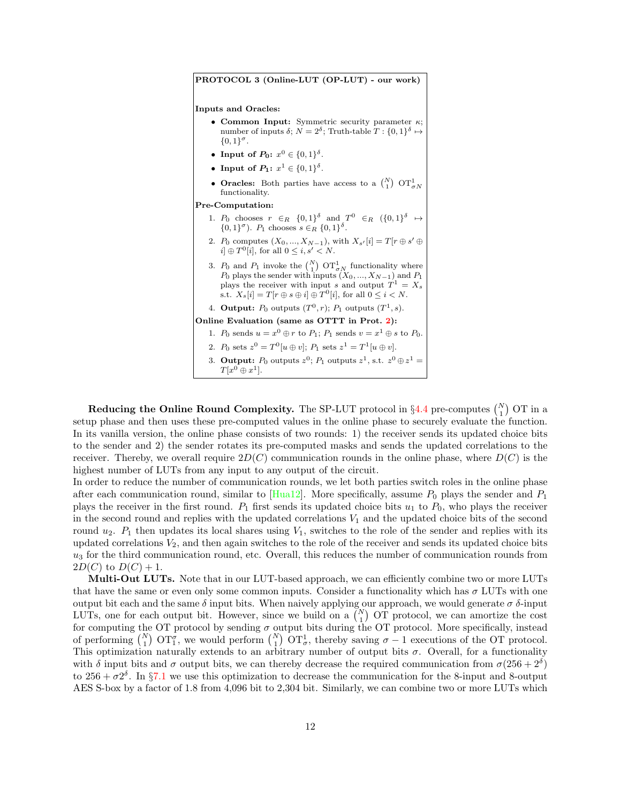<span id="page-11-0"></span>PROTOCOL 3 (Online-LUT (OP-LUT) - our work) Inputs and Oracles: • Common Input: Symmetric security parameter  $\kappa$ ; number of inputs  $\delta$ ;  $N = 2^{\delta}$ ; Truth-table  $T : \{0, 1\}^{\delta} \mapsto$  ${0,1}^{\sigma}.$ • Input of  $P_0: x^0 \in \{0,1\}^{\delta}$ . • Input of  $P_1: x^1 \in \{0,1\}^{\delta}$ . • Oracles: Both parties have access to a  $\binom{N}{1}$  OT $\frac{1}{\sigma N}$ functionality. Pre-Computation: 1.  $P_0$  chooses  $r \in_R \{0,1\}^{\delta}$  and  $T^0 \in_R \{0,1\}^{\delta} \mapsto$  $\{0,1\}^{\sigma}$ ).  $P_1$  chooses  $s \in_R \{0,1\}^{\delta}$ . 2.  $P_0$  computes  $(X_0, ..., X_{N-1})$ , with  $X_{s'}[i] = T[r \oplus s' \oplus$  $i \nvert \oplus T^0[i]$ , for all  $0 \leq i, s' < N$ . 3.  $P_0$  and  $P_1$  invoke the  $\binom{N}{1}$  OT $\frac{1}{\sigma N}$  functionality where  $P_0$  plays the sender with inputs  $(X_0, ..., X_{N-1})$  and  $P_1$ plays the receiver with input s and output  $T^1 = X_s$ s.t.  $X_s[i] = T[r \oplus s \oplus i] \oplus T^0[i]$ , for all  $0 \le i \le N$ . 4. Output:  $P_0$  outputs  $(T^0, r)$ ;  $P_1$  outputs  $(T^1, s)$ . Online Evaluation (same as OTTT in Prot. [2\)](#page-10-2): 1.  $P_0$  sends  $u = x^0 \oplus r$  to  $P_1$ ;  $P_1$  sends  $v = x^1 \oplus s$  to  $P_0$ . 2.  $P_0$  sets  $z^0 = T^0[u \oplus v]$ ;  $P_1$  sets  $z^1 = T^1[u \oplus v]$ . 3. Output:  $P_0$  outputs  $z^0$ ;  $P_1$  outputs  $z^1$ , s.t.  $z^0 \oplus z^1 =$  $T[x^0 \oplus x^1]$ .

Reducing the Online Round Complexity. The SP-LUT protocol in  $\S 4.4$  $\S 4.4$  pre-computes  $\binom{N}{1}$  OT in a setup phase and then uses these pre-computed values in the online phase to securely evaluate the function. In its vanilla version, the online phase consists of two rounds: 1) the receiver sends its updated choice bits to the sender and 2) the sender rotates its pre-computed masks and sends the updated correlations to the receiver. Thereby, we overall require  $2D(C)$  communication rounds in the online phase, where  $D(C)$  is the highest number of LUTs from any input to any output of the circuit.

In order to reduce the number of communication rounds, we let both parties switch roles in the online phase after each communication round, similar to  $[Hua12]$ . More specifically, assume  $P_0$  plays the sender and  $P_1$ plays the receiver in the first round.  $P_1$  first sends its updated choice bits  $u_1$  to  $P_0$ , who plays the receiver in the second round and replies with the updated correlations  $V_1$  and the updated choice bits of the second round  $u_2$ .  $P_1$  then updates its local shares using  $V_1$ , switches to the role of the sender and replies with its updated correlations  $V_2$ , and then again switches to the role of the receiver and sends its updated choice bits  $u_3$  for the third communication round, etc. Overall, this reduces the number of communication rounds from  $2D(C)$  to  $D(C) + 1$ .

Multi-Out LUTs. Note that in our LUT-based approach, we can efficiently combine two or more LUTs that have the same or even only some common inputs. Consider a functionality which has  $\sigma$  LUTs with one output bit each and the same δ input bits. When naively applying our approach, we would generate σ δ-input LUTs, one for each output bit. However, since we build on a  $\binom{N}{1}$  OT protocol, we can amortize the cost for computing the OT protocol by sending  $\sigma$  output bits during the OT protocol. More specifically, instead of performing  $\binom{N}{1}$   $\text{OT}_1^{\sigma}$ , we would perform  $\binom{N}{1}$   $\text{OT}_\sigma^1$ , thereby saving  $\sigma - 1$  executions of the OT protocol. This optimization naturally extends to an arbitrary number of output bits  $\sigma$ . Overall, for a functionality with  $\delta$  input bits and  $\sigma$  output bits, we can thereby decrease the required communication from  $\sigma(256+2^{\delta})$ to  $256 + \sigma 2^{\delta}$ . In §[7.1](#page-17-1) we use this optimization to decrease the communication for the 8-input and 8-output AES S-box by a factor of 1.8 from 4,096 bit to 2,304 bit. Similarly, we can combine two or more LUTs which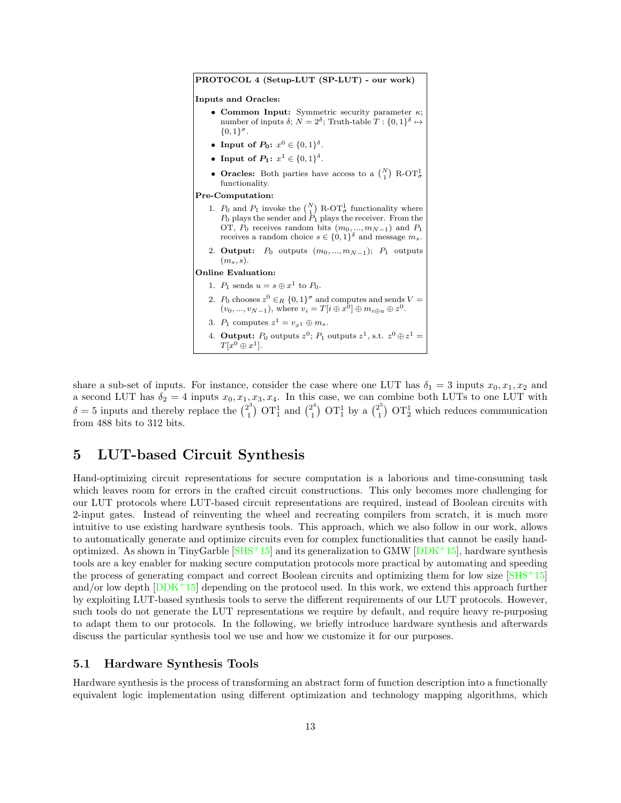<span id="page-12-1"></span>PROTOCOL 4 (Setup-LUT (SP-LUT) - our work) Inputs and Oracles: • Common Input: Symmetric security parameter  $\kappa$ ; number of inputs  $\delta; N = 2^{\delta};$  Truth-table  $T: \{0,1\}^{\delta} \mapsto$  ${0,1}^{\sigma}.$ • Input of  $P_0: x^0 \in \{0,1\}^{\delta}$ . • Input of  $P_1: x^1 \in \{0,1\}^{\delta}$ . • Oracles: Both parties have access to a  $\binom{N}{1}$  R-OT<sub> $\sigma$ </sub> functionality. Pre-Computation: 1.  $P_0$  and  $P_1$  invoke the  $\binom{N}{1}$  R-OT<sub> $\sigma$ </sub> functionality where  $P_0$  plays the sender and  $P_1$  plays the receiver. From the OT,  $P_0$  receives random bits  $(m_0, ..., m_{N-1})$  and  $P_1$ receives a random choice  $s \in \{0,1\}^{\delta}$  and message  $m_s$ . 2. Output:  $P_0$  outputs  $(m_0, ..., m_{N-1}); P_1$  outputs  $(m_s, s)$ . Online Evaluation: 1.  $P_1$  sends  $u = s \oplus x^1$  to  $P_0$ . 2.  $P_0$  chooses  $z^0 \in_R \{0,1\}^\sigma$  and computes and sends  $V =$  $(v_0, ..., v_{N-1}),$  where  $v_i = T[i \oplus x^0] \oplus m_{i \oplus u} \oplus z^0.$ 3.  $P_1$  computes  $z^1 = v_{x^1} \oplus m_s$ . 4. **Output:**  $P_0$  outputs  $z^0$ ;  $P_1$  outputs  $z^1$ , s.t.  $z^0 \oplus z^1 =$  $T[x^0 \oplus x^1]$ .

share a sub-set of inputs. For instance, consider the case where one LUT has  $\delta_1 = 3$  inputs  $x_0, x_1, x_2$  and a second LUT has  $\delta_2 = 4$  inputs  $x_0, x_1, x_3, x_4$ . In this case, we can combine both LUTs to one LUT with  $\delta = 5$  inputs and thereby replace the  $\binom{2^3}{1}$  $\binom{2^3}{1}$  OT<sub>1</sub><sup>24</sup> and  $\binom{2^4}{1}$  $\binom{2^4}{1}$  OT $\frac{1}{1}$  by a  $\binom{2^5}{1}$  $\binom{2^{\degree}}{1}$  OT<sub>2</sub> which reduces communication from 488 bits to 312 bits.

# <span id="page-12-0"></span>5 LUT-based Circuit Synthesis

Hand-optimizing circuit representations for secure computation is a laborious and time-consuming task which leaves room for errors in the crafted circuit constructions. This only becomes more challenging for our LUT protocols where LUT-based circuit representations are required, instead of Boolean circuits with 2-input gates. Instead of reinventing the wheel and recreating compilers from scratch, it is much more intuitive to use existing hardware synthesis tools. This approach, which we also follow in our work, allows to automatically generate and optimize circuits even for complex functionalities that cannot be easily handoptimized. As shown in TinyGarble  $[SHS^+15]$  and its generalization to GMW  $[DDK^+15]$ , hardware synthesis tools are a key enabler for making secure computation protocols more practical by automating and speeding the process of generating compact and correct Boolean circuits and optimizing them for low size  $[SHS^+15]$ and/or low depth  $[DDK+15]$  depending on the protocol used. In this work, we extend this approach further by exploiting LUT-based synthesis tools to serve the different requirements of our LUT protocols. However, such tools do not generate the LUT representations we require by default, and require heavy re-purposing to adapt them to our protocols. In the following, we briefly introduce hardware synthesis and afterwards discuss the particular synthesis tool we use and how we customize it for our purposes.

## 5.1 Hardware Synthesis Tools

Hardware synthesis is the process of transforming an abstract form of function description into a functionally equivalent logic implementation using different optimization and technology mapping algorithms, which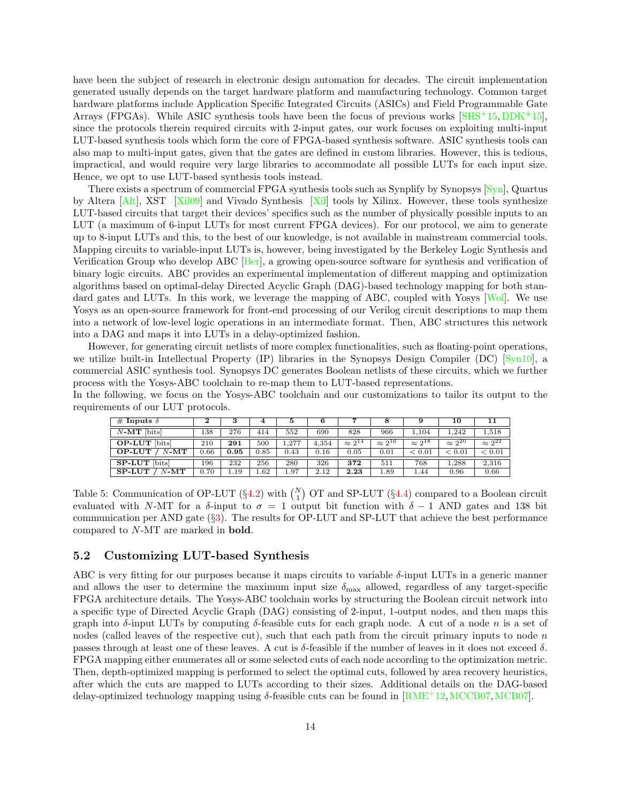have been the subject of research in electronic design automation for decades. The circuit implementation generated usually depends on the target hardware platform and manufacturing technology. Common target hardware platforms include Application Specific Integrated Circuits (ASICs) and Field Programmable Gate Arrays (FPGAs). While ASIC synthesis tools have been the focus of previous works [\[SHS](#page-24-2)+15, [DDK](#page-22-6)+15], since the protocols therein required circuits with 2-input gates, our work focuses on exploiting multi-input LUT-based synthesis tools which form the core of FPGA-based synthesis software. ASIC synthesis tools can also map to multi-input gates, given that the gates are defined in custom libraries. However, this is tedious, impractical, and would require very large libraries to accommodate all possible LUTs for each input size. Hence, we opt to use LUT-based synthesis tools instead.

There exists a spectrum of commercial FPGA synthesis tools such as Synplify by Synopsys [\[Syn\]](#page-24-6), Quartus by Altera [\[Alt\]](#page-21-6), XST [\[Xil09\]](#page-24-7) and Vivado Synthesis [\[Xil\]](#page-24-8) tools by Xilinx. However, these tools synthesize LUT-based circuits that target their devices' specifics such as the number of physically possible inputs to an LUT (a maximum of 6-input LUTs for most current FPGA devices). For our protocol, we aim to generate up to 8-input LUTs and this, to the best of our knowledge, is not available in mainstream commercial tools. Mapping circuits to variable-input LUTs is, however, being investigated by the Berkeley Logic Synthesis and Verification Group who develop ABC [\[Ber\]](#page-21-7), a growing open-source software for synthesis and verification of binary logic circuits. ABC provides an experimental implementation of different mapping and optimization algorithms based on optimal-delay Directed Acyclic Graph (DAG)-based technology mapping for both standard gates and LUTs. In this work, we leverage the mapping of ABC, coupled with Yosys Wol. We use Yosys as an open-source framework for front-end processing of our Verilog circuit descriptions to map them into a network of low-level logic operations in an intermediate format. Then, ABC structures this network into a DAG and maps it into LUTs in a delay-optimized fashion.

However, for generating circuit netlists of more complex functionalities, such as floating-point operations, we utilize built-in Intellectual Property (IP) libraries in the Synopsys Design Compiler (DC) [\[Syn10\]](#page-24-10), a commercial ASIC synthesis tool. Synopsys DC generates Boolean netlists of these circuits, which we further process with the Yosys-ABC toolchain to re-map them to LUT-based representations.

In the following, we focus on the Yosys-ABC toolchain and our customizations to tailor its output to the requirements of our LUT protocols.

| # Inputs $\delta$        |      | 3    | 4    | đ     |       |                  |                  | 9                | 10               | 11               |
|--------------------------|------|------|------|-------|-------|------------------|------------------|------------------|------------------|------------------|
| $N-MT$ [bits]            | 138  | 276  | 414  | 552   | 690   | 828              | 966              | 1,104            | 1.242            | 1,518            |
| <b>OP-LUT</b> [bits]     | 210  | 291  | 500  | 1.277 | 4.354 | $\approx 2^{14}$ | $\approx 2^{16}$ | $\approx 2^{18}$ | $\approx 2^{20}$ | $\approx 2^{22}$ |
| $N$ -MT<br><b>OP-LUT</b> | 0.66 | 0.95 | 0.85 | 0.43  | 0.16  | 0.05             | 0.01             | < 0.01           | < 0.01           | < 0.01           |
| <b>SP-LUT</b> [bits]     | L96  | 232  | 256  | 280   | 326   | 372              | 511              | 768              | 1.288            | 2,316            |
| <b>SP-LUT</b><br>$N$ -MT | 0.70 | 1.19 | 1.62 | 1.97  | 2.12  | 2.23             | 1.89             | 1.44             | 0.96             | 0.66             |

<span id="page-13-0"></span>Table 5: Communication of OP-LUT ( $\S 4.2$ ) with  $\binom{N}{1}$  OT and SP-LUT ( $\S 4.4$ ) compared to a Boolean circuit evaluated with N-MT for a  $\delta$ -input to  $\sigma = 1$  output bit function with  $\delta - 1$  AND gates and 138 bit communication per AND gate (§[3\)](#page-5-0). The results for OP-LUT and SP-LUT that achieve the best performance compared to N-MT are marked in bold.

### 5.2 Customizing LUT-based Synthesis

ABC is very fitting for our purposes because it maps circuits to variable δ-input LUTs in a generic manner and allows the user to determine the maximum input size  $\delta_{\text{max}}$  allowed, regardless of any target-specific FPGA architecture details. The Yosys-ABC toolchain works by structuring the Boolean circuit network into a specific type of Directed Acyclic Graph (DAG) consisting of 2-input, 1-output nodes, and then maps this graph into  $\delta$ -input LUTs by computing  $\delta$ -feasible cuts for each graph node. A cut of a node n is a set of nodes (called leaves of the respective cut), such that each path from the circuit primary inputs to node  $n$ passes through at least one of these leaves. A cut is  $\delta$ -feasible if the number of leaves in it does not exceed  $\delta$ . FPGA mapping either enumerates all or some selected cuts of each node according to the optimization metric. Then, depth-optimized mapping is performed to select the optimal cuts, followed by area recovery heuristics, after which the cuts are mapped to LUTs according to their sizes. Additional details on the DAG-based delay-optimized technology mapping using  $\delta$ -feasible cuts can be found in [\[RME](#page-24-11)+12,[MCCB07,](#page-23-9)[MCB07\]](#page-23-10).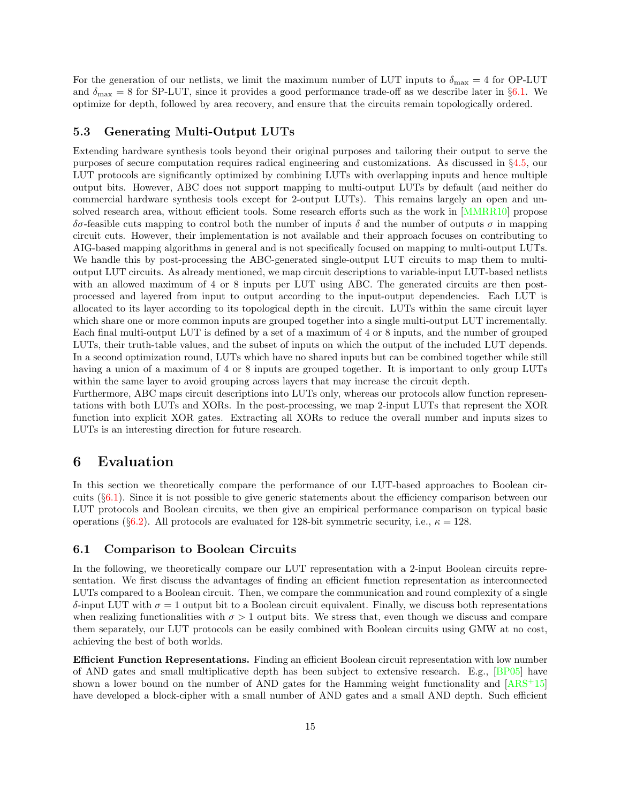For the generation of our netlists, we limit the maximum number of LUT inputs to  $\delta_{\text{max}} = 4$  for OP-LUT and  $\delta_{\text{max}} = 8$  for SP-LUT, since it provides a good performance trade-off as we describe later in §[6.1.](#page-14-1) We optimize for depth, followed by area recovery, and ensure that the circuits remain topologically ordered.

## 5.3 Generating Multi-Output LUTs

Extending hardware synthesis tools beyond their original purposes and tailoring their output to serve the purposes of secure computation requires radical engineering and customizations. As discussed in §[4.5,](#page-10-1) our LUT protocols are significantly optimized by combining LUTs with overlapping inputs and hence multiple output bits. However, ABC does not support mapping to multi-output LUTs by default (and neither do commercial hardware synthesis tools except for 2-output LUTs). This remains largely an open and unsolved research area, without efficient tools. Some research efforts such as the work in [\[MMRR10\]](#page-23-11) propose δσ-feasible cuts mapping to control both the number of inputs δ and the number of outputs σ in mapping circuit cuts. However, their implementation is not available and their approach focuses on contributing to AIG-based mapping algorithms in general and is not specifically focused on mapping to multi-output LUTs. We handle this by post-processing the ABC-generated single-output LUT circuits to map them to multioutput LUT circuits. As already mentioned, we map circuit descriptions to variable-input LUT-based netlists with an allowed maximum of 4 or 8 inputs per LUT using ABC. The generated circuits are then postprocessed and layered from input to output according to the input-output dependencies. Each LUT is allocated to its layer according to its topological depth in the circuit. LUTs within the same circuit layer which share one or more common inputs are grouped together into a single multi-output LUT incrementally. Each final multi-output LUT is defined by a set of a maximum of 4 or 8 inputs, and the number of grouped LUTs, their truth-table values, and the subset of inputs on which the output of the included LUT depends. In a second optimization round, LUTs which have no shared inputs but can be combined together while still having a union of a maximum of 4 or 8 inputs are grouped together. It is important to only group LUTs within the same layer to avoid grouping across layers that may increase the circuit depth.

Furthermore, ABC maps circuit descriptions into LUTs only, whereas our protocols allow function representations with both LUTs and XORs. In the post-processing, we map 2-input LUTs that represent the XOR function into explicit XOR gates. Extracting all XORs to reduce the overall number and inputs sizes to LUTs is an interesting direction for future research.

# <span id="page-14-0"></span>6 Evaluation

In this section we theoretically compare the performance of our LUT-based approaches to Boolean circuits (§[6.1\)](#page-14-1). Since it is not possible to give generic statements about the efficiency comparison between our LUT protocols and Boolean circuits, we then give an empirical performance comparison on typical basic operations (§[6.2\)](#page-16-0). All protocols are evaluated for 128-bit symmetric security, i.e.,  $\kappa = 128$ .

### <span id="page-14-1"></span>6.1 Comparison to Boolean Circuits

In the following, we theoretically compare our LUT representation with a 2-input Boolean circuits representation. We first discuss the advantages of finding an efficient function representation as interconnected LUTs compared to a Boolean circuit. Then, we compare the communication and round complexity of a single δ-input LUT with  $\sigma = 1$  output bit to a Boolean circuit equivalent. Finally, we discuss both representations when realizing functionalities with  $\sigma > 1$  output bits. We stress that, even though we discuss and compare them separately, our LUT protocols can be easily combined with Boolean circuits using GMW at no cost, achieving the best of both worlds.

Efficient Function Representations. Finding an efficient Boolean circuit representation with low number of AND gates and small multiplicative depth has been subject to extensive research. E.g., [\[BP05\]](#page-21-8) have shown a lower bound on the number of AND gates for the Hamming weight functionality and  $[ARS^+15]$ have developed a block-cipher with a small number of AND gates and a small AND depth. Such efficient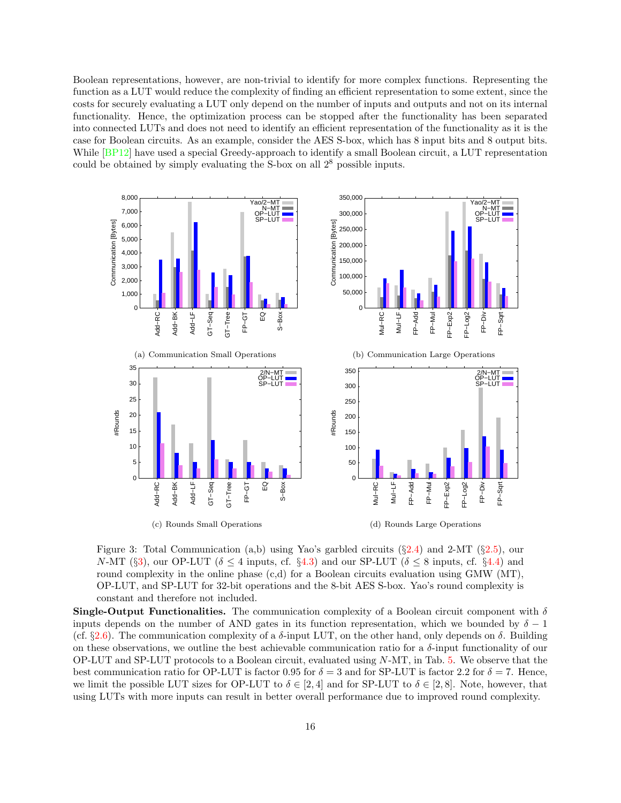Boolean representations, however, are non-trivial to identify for more complex functions. Representing the function as a LUT would reduce the complexity of finding an efficient representation to some extent, since the costs for securely evaluating a LUT only depend on the number of inputs and outputs and not on its internal functionality. Hence, the optimization process can be stopped after the functionality has been separated into connected LUTs and does not need to identify an efficient representation of the functionality as it is the case for Boolean circuits. As an example, consider the AES S-box, which has 8 input bits and 8 output bits. While  $[BP12]$  have used a special Greedy-approach to identify a small Boolean circuit, a LUT representation could be obtained by simply evaluating the S-box on all  $2^8$  possible inputs.



<span id="page-15-0"></span>Figure 3: Total Communication (a,b) using Yao's garbled circuits  $(\S 2.4)$  $(\S 2.4)$  and 2-MT  $(\S 2.5)$  $(\S 2.5)$ , our N-MT (§[3\)](#page-5-0), our OP-LUT ( $\delta \leq 4$  inputs, cf. §[4.3\)](#page-9-1) and our SP-LUT ( $\delta \leq 8$  inputs, cf. §[4.4\)](#page-10-0) and round complexity in the online phase  $(c,d)$  for a Boolean circuits evaluation using GMW (MT), OP-LUT, and SP-LUT for 32-bit operations and the 8-bit AES S-box. Yao's round complexity is constant and therefore not included.

**Single-Output Functionalities.** The communication complexity of a Boolean circuit component with  $\delta$ inputs depends on the number of AND gates in its function representation, which we bounded by  $\delta - 1$ (cf.  $\S 2.6$ ). The communication complexity of a  $\delta$ -input LUT, on the other hand, only depends on  $\delta$ . Building on these observations, we outline the best achievable communication ratio for a  $\delta$ -input functionality of our OP-LUT and SP-LUT protocols to a Boolean circuit, evaluated using N-MT, in Tab. [5.](#page-13-0) We observe that the best communication ratio for OP-LUT is factor 0.95 for  $\delta = 3$  and for SP-LUT is factor 2.2 for  $\delta = 7$ . Hence, we limit the possible LUT sizes for OP-LUT to  $\delta \in [2, 4]$  and for SP-LUT to  $\delta \in [2, 8]$ . Note, however, that using LUTs with more inputs can result in better overall performance due to improved round complexity.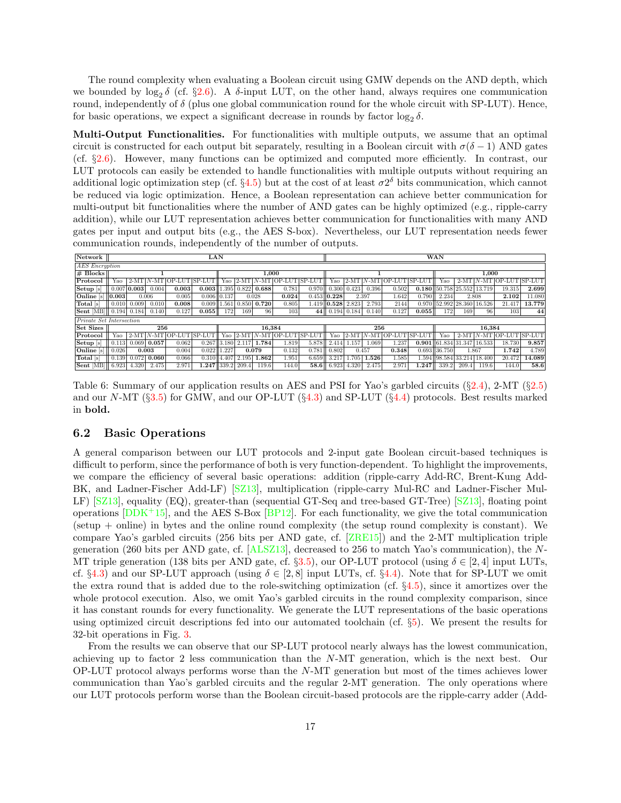The round complexity when evaluating a Boolean circuit using GMW depends on the AND depth, which we bounded by  $\log_2 \delta$  (cf. §[2.6\)](#page-4-0). A  $\delta$ -input LUT, on the other hand, always requires one communication round, independently of  $\delta$  (plus one global communication round for the whole circuit with SP-LUT). Hence, for basic operations, we expect a significant decrease in rounds by factor  $\log_2 \delta$ .

Multi-Output Functionalities. For functionalities with multiple outputs, we assume that an optimal circuit is constructed for each output bit separately, resulting in a Boolean circuit with  $\sigma(\delta - 1)$  AND gates (cf. §[2.6\)](#page-4-0). However, many functions can be optimized and computed more efficiently. In contrast, our LUT protocols can easily be extended to handle functionalities with multiple outputs without requiring an additional logic optimization step (cf. §[4.5\)](#page-10-1) but at the cost of at least  $\sigma 2^{\delta}$  bits communication, which cannot be reduced via logic optimization. Hence, a Boolean representation can achieve better communication for multi-output bit functionalities where the number of AND gates can be highly optimized (e.g., ripple-carry addition), while our LUT representation achieves better communication for functionalities with many AND gates per input and output bits (e.g., the AES S-box). Nevertheless, our LUT representation needs fewer communication rounds, independently of the number of outputs.

| Network                            | LAN               |       |       |                           |                         |                 |                         |        |                        |               | <b>WAN</b>        |                         |                |       |                    |                              |        |        |                            |        |
|------------------------------------|-------------------|-------|-------|---------------------------|-------------------------|-----------------|-------------------------|--------|------------------------|---------------|-------------------|-------------------------|----------------|-------|--------------------|------------------------------|--------|--------|----------------------------|--------|
|                                    | AES Encryption    |       |       |                           |                         |                 |                         |        |                        |               |                   |                         |                |       |                    |                              |        |        |                            |        |
| $# \, \text{Blocks}$               |                   |       |       |                           |                         |                 | 1.000                   |        |                        |               |                   |                         |                |       | 1.000              |                              |        |        |                            |        |
| Protocol                           | Yao               |       |       | $2-MT$ N-MT OP-LUT SP-LUT |                         | Yao             |                         |        | $2-MT$ $N-MT$ $OP-LUT$ | SP-LUT        | Yao               | $2-MT$                  |                |       | N-MT OP-LUT SP-LUT | Yao                          |        |        | $2-MT$ N-MT OP-LUT SP-LUT  |        |
| Setup s                            | 0.007 0.003       |       | 0.004 | 0.003                     | $0.003$   1.395   0.822 |                 |                         | 0.688  | 0.781                  | 0.970         |                   | $0.300 \mid 0.423 \mid$ | 0.396          | 0.502 |                    | $0.180$ 50.758 25.552 13.719 |        |        | 19.315                     | 2.699  |
| Online $\left  \sin \right  0.003$ |                   | 0.006 |       | 0.005                     | $0.006$ 0.137           |                 |                         | 0.028  | 0.024                  |               | 0.453  0.228      |                         | 2.397<br>1.642 |       | 0.790              | 2.234                        | 2.808  |        | 2.102                      | 11.080 |
| Total [s]                          | 0.010             | 0.009 | 0.010 | 0.008                     |                         | $0.009$   1.561 | 0.850                   | 0.720  | 0.805                  |               | 1.419 0.528 2.823 |                         | 2.793          | 2144  | 0.970              | 52.992 28.360                |        | 16.526 | 21.417                     | 13.779 |
| <b>Sent</b> [MB] $ $ 0.194   0.184 |                   |       | 0.140 | 0.127                     | 0.055                   | 172             | 169                     | 96     | 103                    | 44 II         |                   | $0.194$ 0.184           | 0.140          | 0.127 | 0.055              | 172                          | 169    | 96     | 103 <sup>l</sup>           | 44     |
| Private Set Intersection           |                   |       |       |                           |                         |                 |                         |        |                        |               |                   |                         |                |       |                    |                              |        |        |                            |        |
| <b>Set Sizes</b>                   |                   |       | 256   |                           |                         |                 |                         | 16.384 |                        |               | 256<br>16.384     |                         |                |       |                    |                              |        |        |                            |        |
| Protocol                           | Yao               |       |       | 2-MT N-MT OP-LUT SP-LUT   |                         | Yao             | $2-MT$                  | l N-MT | $[OP-LJT]$             | <b>SP-LUT</b> | Yao               | $2-MT$                  | $N-MT$         |       | OP-LUTISP-LUT      | Yao                          | $2-MT$ |        | '   N-MT   OP-LUT   SP-LUT |        |
| $\left  \text{Setup } s \right $   | 0.113             | 0.069 | 0.057 | 0.062                     |                         |                 | $0.267$   3.180   2.117 | 1.784  | 1.819                  | 5.878         | 2.414             | 1.157                   | 1.069          | 1.237 |                    | 0.901 61.834 31.347 16.533   |        |        | 18.730                     | 9.857  |
| Online [s]                         | 0.026             | 0.003 |       | 0.004                     | 0.022                   | 1.227           |                         | 0.079  | 0.132                  | 0.781         | 0.802             |                         | 0.457          | 0.348 |                    | $0.693$ 36.750               |        | 1.867  | 1.742                      | 4.789  |
| Total [s]                          | 0.139             | 0.072 | 0.060 | 0.066                     |                         |                 | $0.310$   4.407   2.195 | 1.862  | 1.951                  | 6.659         | 3.217             | 1.705                   | 1.526          | 1.585 |                    | 1.594   98.584   33.214      |        | 18.400 | 20.472                     | 14.089 |
| Sent [MB]                          | $\parallel$ 6.923 | 4.320 | 2.475 | 2.971                     | 1.247 339.2 209.4       |                 |                         | 119.6  | 144.0                  | 58.6          | 6.923             | 4.320                   | 2.475          | 2.971 | 1.247              | 339.2                        | 209.4  | 119.6  | 144.0                      | 58.6   |

<span id="page-16-1"></span>Table 6: Summary of our application results on AES and PSI for Yao's garbled circuits  $(\S 2.4)$  $(\S 2.4)$ , 2-MT  $(\S 2.5)$  $(\S 2.5)$ and our N-MT  $(\S 3.5)$  $(\S 3.5)$  for GMW, and our OP-LUT  $(\S 4.3)$  $(\S 4.3)$  and SP-LUT  $(\S 4.4)$  $(\S 4.4)$  protocols. Best results marked in bold.

## <span id="page-16-0"></span>6.2 Basic Operations

A general comparison between our LUT protocols and 2-input gate Boolean circuit-based techniques is difficult to perform, since the performance of both is very function-dependent. To highlight the improvements, we compare the efficiency of several basic operations: addition (ripple-carry Add-RC, Brent-Kung Add-BK, and Ladner-Fischer Add-LF) [\[SZ13\]](#page-24-12), multiplication (ripple-carry Mul-RC and Ladner-Fischer Mul-LF) [\[SZ13\]](#page-24-12), equality (EQ), greater-than (sequential GT-Seq and tree-based GT-Tree) [\[SZ13\]](#page-24-12), floating point operations  $[DDK+15]$ , and the AES S-Box  $[BP12]$ . For each functionality, we give the total communication (setup + online) in bytes and the online round complexity (the setup round complexity is constant). We compare Yao's garbled circuits (256 bits per AND gate, cf. [\[ZRE15\]](#page-24-3)) and the 2-MT multiplication triple generation (260 bits per AND gate, cf. [\[ALSZ13\]](#page-21-3), decreased to 256 to match Yao's communication), the N-MT triple generation (138 bits per AND gate, cf. §[3.5\)](#page-8-1), our OP-LUT protocol (using  $\delta \in [2, 4]$  input LUTs, cf. §[4.3\)](#page-9-1) and our SP-LUT approach (using  $\delta \in [2,8]$  input LUTs, cf. §[4.4\)](#page-10-0). Note that for SP-LUT we omit the extra round that is added due to the role-switching optimization (cf. §[4.5\)](#page-10-1), since it amortizes over the whole protocol execution. Also, we omit Yao's garbled circuits in the round complexity comparison, since it has constant rounds for every functionality. We generate the LUT representations of the basic operations using optimized circuit descriptions fed into our automated toolchain (cf. §[5\)](#page-12-0). We present the results for 32-bit operations in Fig. [3.](#page-15-0)

From the results we can observe that our SP-LUT protocol nearly always has the lowest communication, achieving up to factor 2 less communication than the N-MT generation, which is the next best. Our OP-LUT protocol always performs worse than the N-MT generation but most of the times achieves lower communication than Yao's garbled circuits and the regular 2-MT generation. The only operations where our LUT protocols perform worse than the Boolean circuit-based protocols are the ripple-carry adder (Add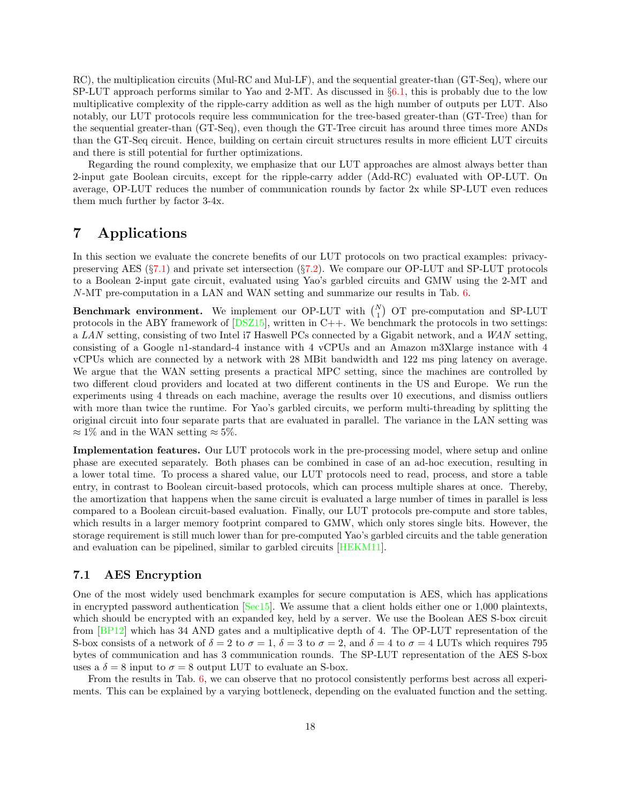RC), the multiplication circuits (Mul-RC and Mul-LF), and the sequential greater-than (GT-Seq), where our SP-LUT approach performs similar to Yao and 2-MT. As discussed in §[6.1,](#page-14-1) this is probably due to the low multiplicative complexity of the ripple-carry addition as well as the high number of outputs per LUT. Also notably, our LUT protocols require less communication for the tree-based greater-than (GT-Tree) than for the sequential greater-than (GT-Seq), even though the GT-Tree circuit has around three times more ANDs than the GT-Seq circuit. Hence, building on certain circuit structures results in more efficient LUT circuits and there is still potential for further optimizations.

Regarding the round complexity, we emphasize that our LUT approaches are almost always better than 2-input gate Boolean circuits, except for the ripple-carry adder (Add-RC) evaluated with OP-LUT. On average, OP-LUT reduces the number of communication rounds by factor 2x while SP-LUT even reduces them much further by factor 3-4x.

# <span id="page-17-0"></span>7 Applications

In this section we evaluate the concrete benefits of our LUT protocols on two practical examples: privacypreserving AES  $(\S7.1)$  $(\S7.1)$  and private set intersection  $(\S7.2)$  $(\S7.2)$ . We compare our OP-LUT and SP-LUT protocols to a Boolean 2-input gate circuit, evaluated using Yao's garbled circuits and GMW using the 2-MT and N-MT pre-computation in a LAN and WAN setting and summarize our results in Tab. [6.](#page-16-1)

**Benchmark environment.** We implement our OP-LUT with  $\binom{N}{1}$  OT pre-computation and SP-LUT protocols in the ABY framework of  $[DSZ15]$ , written in C++. We benchmark the protocols in two settings: a LAN setting, consisting of two Intel i7 Haswell PCs connected by a Gigabit network, and a WAN setting, consisting of a Google n1-standard-4 instance with 4 vCPUs and an Amazon m3Xlarge instance with 4 vCPUs which are connected by a network with 28 MBit bandwidth and 122 ms ping latency on average. We argue that the WAN setting presents a practical MPC setting, since the machines are controlled by two different cloud providers and located at two different continents in the US and Europe. We run the experiments using 4 threads on each machine, average the results over 10 executions, and dismiss outliers with more than twice the runtime. For Yao's garbled circuits, we perform multi-threading by splitting the original circuit into four separate parts that are evaluated in parallel. The variance in the LAN setting was  $\approx 1\%$  and in the WAN setting  $\approx 5\%$ .

Implementation features. Our LUT protocols work in the pre-processing model, where setup and online phase are executed separately. Both phases can be combined in case of an ad-hoc execution, resulting in a lower total time. To process a shared value, our LUT protocols need to read, process, and store a table entry, in contrast to Boolean circuit-based protocols, which can process multiple shares at once. Thereby, the amortization that happens when the same circuit is evaluated a large number of times in parallel is less compared to a Boolean circuit-based evaluation. Finally, our LUT protocols pre-compute and store tables, which results in a larger memory footprint compared to GMW, which only stores single bits. However, the storage requirement is still much lower than for pre-computed Yao's garbled circuits and the table generation and evaluation can be pipelined, similar to garbled circuits [\[HEKM11\]](#page-22-4).

## <span id="page-17-1"></span>7.1 AES Encryption

One of the most widely used benchmark examples for secure computation is AES, which has applications in encrypted password authentication [\[Sec15\]](#page-24-1). We assume that a client holds either one or 1,000 plaintexts, which should be encrypted with an expanded key, held by a server. We use the Boolean AES S-box circuit from [\[BP12\]](#page-21-5) which has 34 AND gates and a multiplicative depth of 4. The OP-LUT representation of the S-box consists of a network of  $\delta = 2$  to  $\sigma = 1$ ,  $\delta = 3$  to  $\sigma = 2$ , and  $\delta = 4$  to  $\sigma = 4$  LUTs which requires 795 bytes of communication and has 3 communication rounds. The SP-LUT representation of the AES S-box uses a  $\delta = 8$  input to  $\sigma = 8$  output LUT to evaluate an S-box.

From the results in Tab. [6,](#page-16-1) we can observe that no protocol consistently performs best across all experiments. This can be explained by a varying bottleneck, depending on the evaluated function and the setting.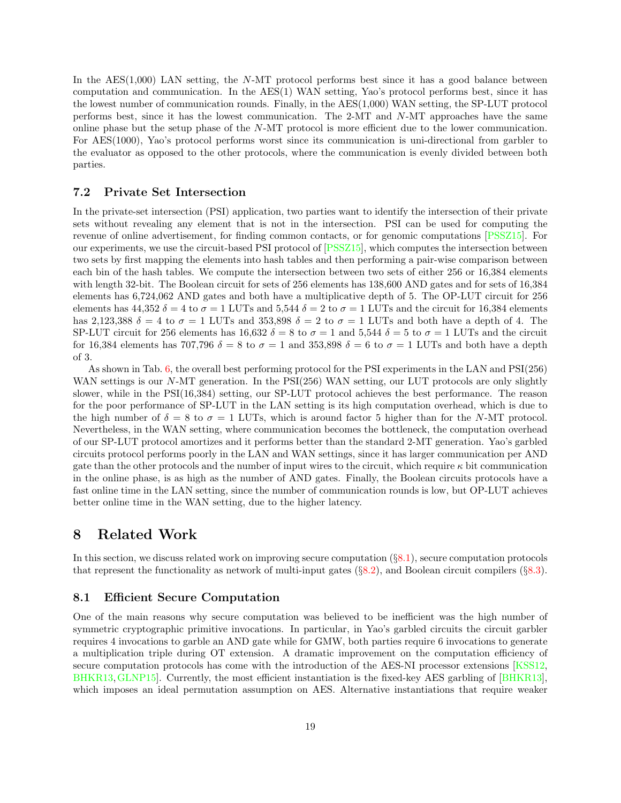In the AES $(1,000)$  LAN setting, the N-MT protocol performs best since it has a good balance between computation and communication. In the AES(1) WAN setting, Yao's protocol performs best, since it has the lowest number of communication rounds. Finally, in the AES(1,000) WAN setting, the SP-LUT protocol performs best, since it has the lowest communication. The 2-MT and N-MT approaches have the same online phase but the setup phase of the N-MT protocol is more efficient due to the lower communication. For AES(1000), Yao's protocol performs worst since its communication is uni-directional from garbler to the evaluator as opposed to the other protocols, where the communication is evenly divided between both parties.

## <span id="page-18-1"></span>7.2 Private Set Intersection

In the private-set intersection (PSI) application, two parties want to identify the intersection of their private sets without revealing any element that is not in the intersection. PSI can be used for computing the revenue of online advertisement, for finding common contacts, or for genomic computations [\[PSSZ15\]](#page-24-13). For our experiments, we use the circuit-based PSI protocol of [\[PSSZ15\]](#page-24-13), which computes the intersection between two sets by first mapping the elements into hash tables and then performing a pair-wise comparison between each bin of the hash tables. We compute the intersection between two sets of either 256 or 16,384 elements with length 32-bit. The Boolean circuit for sets of 256 elements has 138,600 AND gates and for sets of 16,384 elements has 6,724,062 AND gates and both have a multiplicative depth of 5. The OP-LUT circuit for 256 elements has 44,352  $\delta = 4$  to  $\sigma = 1$  LUTs and 5,544  $\delta = 2$  to  $\sigma = 1$  LUTs and the circuit for 16,384 elements has 2,123,388  $\delta = 4$  to  $\sigma = 1$  LUTs and 353,898  $\delta = 2$  to  $\sigma = 1$  LUTs and both have a depth of 4. The SP-LUT circuit for 256 elements has 16,632  $\delta = 8$  to  $\sigma = 1$  and 5,544  $\delta = 5$  to  $\sigma = 1$  LUTs and the circuit for 16,384 elements has 707,796  $\delta = 8$  to  $\sigma = 1$  and 353,898  $\delta = 6$  to  $\sigma = 1$  LUTs and both have a depth of 3.

As shown in Tab. [6,](#page-16-1) the overall best performing protocol for the PSI experiments in the LAN and PSI(256) WAN settings is our N-MT generation. In the PSI(256) WAN setting, our LUT protocols are only slightly slower, while in the PSI(16,384) setting, our SP-LUT protocol achieves the best performance. The reason for the poor performance of SP-LUT in the LAN setting is its high computation overhead, which is due to the high number of  $\delta = 8$  to  $\sigma = 1$  LUTs, which is around factor 5 higher than for the N-MT protocol. Nevertheless, in the WAN setting, where communication becomes the bottleneck, the computation overhead of our SP-LUT protocol amortizes and it performs better than the standard 2-MT generation. Yao's garbled circuits protocol performs poorly in the LAN and WAN settings, since it has larger communication per AND gate than the other protocols and the number of input wires to the circuit, which require  $\kappa$  bit communication in the online phase, is as high as the number of AND gates. Finally, the Boolean circuits protocols have a fast online time in the LAN setting, since the number of communication rounds is low, but OP-LUT achieves better online time in the WAN setting, due to the higher latency.

# <span id="page-18-0"></span>8 Related Work

In this section, we discuss related work on improving secure computation (§[8.1\)](#page-18-2), secure computation protocols that represent the functionality as network of multi-input gates  $(\S$ [8.2\)](#page-19-0), and Boolean circuit compilers  $(\S$ [8.3\)](#page-20-1).

## <span id="page-18-2"></span>8.1 Efficient Secure Computation

One of the main reasons why secure computation was believed to be inefficient was the high number of symmetric cryptographic primitive invocations. In particular, in Yao's garbled circuits the circuit garbler requires 4 invocations to garble an AND gate while for GMW, both parties require 6 invocations to generate a multiplication triple during OT extension. A dramatic improvement on the computation efficiency of secure computation protocols has come with the introduction of the AES-NI processor extensions [\[KSS12,](#page-23-8) [BHKR13,](#page-21-2)[GLNP15\]](#page-22-2). Currently, the most efficient instantiation is the fixed-key AES garbling of [\[BHKR13\]](#page-21-2), which imposes an ideal permutation assumption on AES. Alternative instantiations that require weaker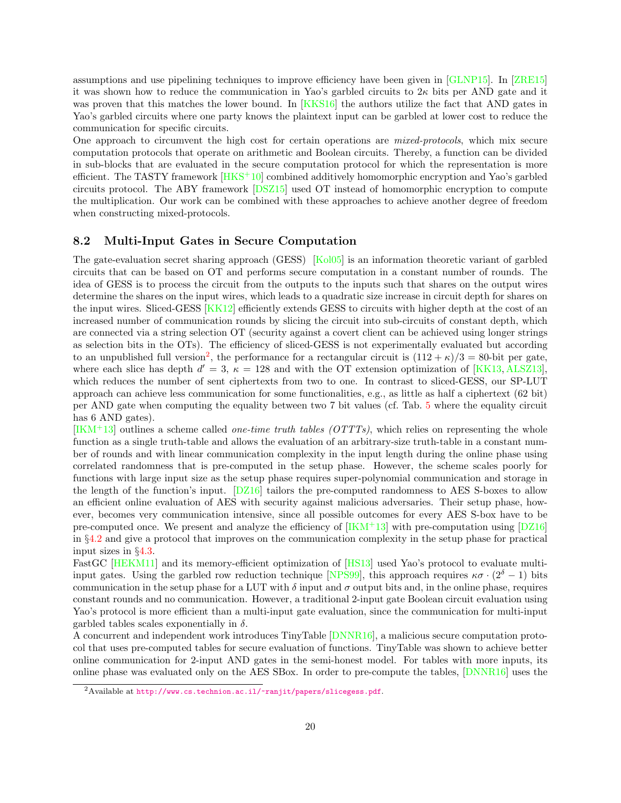assumptions and use pipelining techniques to improve efficiency have been given in [\[GLNP15\]](#page-22-2). In [\[ZRE15\]](#page-24-3) it was shown how to reduce the communication in Yao's garbled circuits to  $2\kappa$  bits per AND gate and it was proven that this matches the lower bound. In [\[KKS16\]](#page-23-12) the authors utilize the fact that AND gates in Yao's garbled circuits where one party knows the plaintext input can be garbled at lower cost to reduce the communication for specific circuits.

One approach to circumvent the high cost for certain operations are mixed-protocols, which mix secure computation protocols that operate on arithmetic and Boolean circuits. Thereby, a function can be divided in sub-blocks that are evaluated in the secure computation protocol for which the representation is more efficient. The TASTY framework  $[HKS+10]$  combined additively homomorphic encryption and Yao's garbled circuits protocol. The ABY framework [\[DSZ15\]](#page-22-7) used OT instead of homomorphic encryption to compute the multiplication. Our work can be combined with these approaches to achieve another degree of freedom when constructing mixed-protocols.

## <span id="page-19-0"></span>8.2 Multi-Input Gates in Secure Computation

The gate-evaluation secret sharing approach (GESS) [\[Kol05\]](#page-23-13) is an information theoretic variant of garbled circuits that can be based on OT and performs secure computation in a constant number of rounds. The idea of GESS is to process the circuit from the outputs to the inputs such that shares on the output wires determine the shares on the input wires, which leads to a quadratic size increase in circuit depth for shares on the input wires. Sliced-GESS [\[KK12\]](#page-23-3) efficiently extends GESS to circuits with higher depth at the cost of an increased number of communication rounds by slicing the circuit into sub-circuits of constant depth, which are connected via a string selection OT (security against a covert client can be achieved using longer strings as selection bits in the OTs). The efficiency of sliced-GESS is not experimentally evaluated but according to an unpublished full version<sup>[2](#page-19-1)</sup>, the performance for a rectangular circuit is  $(112 + \kappa)/3 = 80$ -bit per gate, where each slice has depth  $d' = 3$ ,  $\kappa = 128$  and with the OT extension optimization of [\[KK13,](#page-23-1) [ALSZ13\]](#page-21-3), which reduces the number of sent ciphertexts from two to one. In contrast to sliced-GESS, our SP-LUT approach can achieve less communication for some functionalities, e.g., as little as half a ciphertext (62 bit) per AND gate when computing the equality between two 7 bit values (cf. Tab. [5](#page-13-0) where the equality circuit has 6 AND gates).

 $[IKM+13]$  $[IKM+13]$  outlines a scheme called *one-time truth tables (OTTTs)*, which relies on representing the whole function as a single truth-table and allows the evaluation of an arbitrary-size truth-table in a constant number of rounds and with linear communication complexity in the input length during the online phase using correlated randomness that is pre-computed in the setup phase. However, the scheme scales poorly for functions with large input size as the setup phase requires super-polynomial communication and storage in the length of the function's input. [\[DZ16\]](#page-22-3) tailors the pre-computed randomness to AES S-boxes to allow an efficient online evaluation of AES with security against malicious adversaries. Their setup phase, however, becomes very communication intensive, since all possible outcomes for every AES S-box have to be pre-computed once. We present and analyze the efficiency of  $[IKM+13]$  with pre-computation using  $[DZ16]$ in §[4.2](#page-9-0) and give a protocol that improves on the communication complexity in the setup phase for practical input sizes in §[4.3.](#page-9-1)

FastGC [\[HEKM11\]](#page-22-4) and its memory-efficient optimization of [\[HS13\]](#page-22-13) used Yao's protocol to evaluate multi-input gates. Using the garbled row reduction technique [\[NPS99\]](#page-24-14), this approach requires  $\kappa \sigma \cdot (2^{\delta} - 1)$  bits communication in the setup phase for a LUT with  $\delta$  input and  $\sigma$  output bits and, in the online phase, requires constant rounds and no communication. However, a traditional 2-input gate Boolean circuit evaluation using Yao's protocol is more efficient than a multi-input gate evaluation, since the communication for multi-input garbled tables scales exponentially in  $\delta$ .

A concurrent and independent work introduces TinyTable [\[DNNR16\]](#page-22-14), a malicious secure computation protocol that uses pre-computed tables for secure evaluation of functions. TinyTable was shown to achieve better online communication for 2-input AND gates in the semi-honest model. For tables with more inputs, its online phase was evaluated only on the AES SBox. In order to pre-compute the tables, [\[DNNR16\]](#page-22-14) uses the

<span id="page-19-1"></span><sup>&</sup>lt;sup>2</sup>Available at <http://www.cs.technion.ac.il/~ranjit/papers/slicegess.pdf>.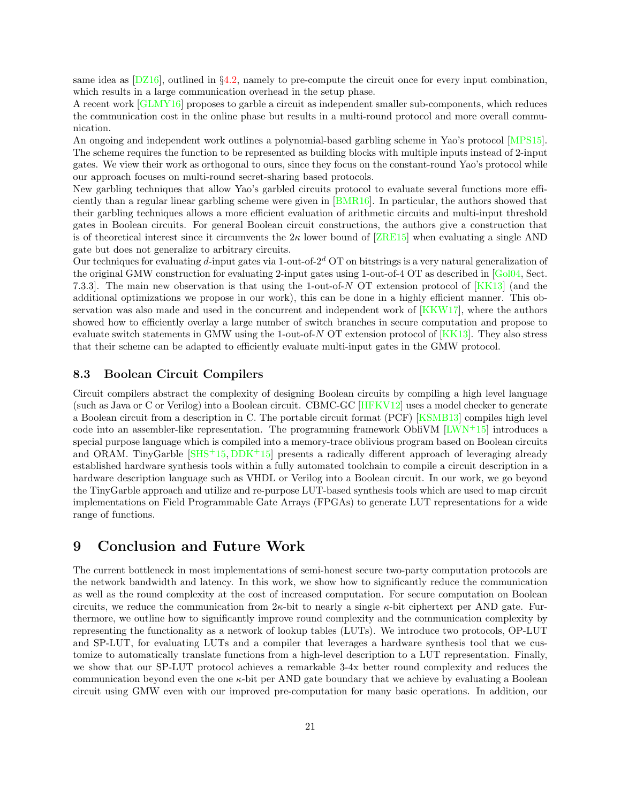same idea as  $[DZ16]$ , outlined in §[4.2,](#page-9-0) namely to pre-compute the circuit once for every input combination. which results in a large communication overhead in the setup phase.

A recent work [\[GLMY16\]](#page-22-15) proposes to garble a circuit as independent smaller sub-components, which reduces the communication cost in the online phase but results in a multi-round protocol and more overall communication.

An ongoing and independent work outlines a polynomial-based garbling scheme in Yao's protocol [\[MPS15\]](#page-23-4). The scheme requires the function to be represented as building blocks with multiple inputs instead of 2-input gates. We view their work as orthogonal to ours, since they focus on the constant-round Yao's protocol while our approach focuses on multi-round secret-sharing based protocols.

New garbling techniques that allow Yao's garbled circuits protocol to evaluate several functions more efficiently than a regular linear garbling scheme were given in [\[BMR16\]](#page-21-10). In particular, the authors showed that their garbling techniques allows a more efficient evaluation of arithmetic circuits and multi-input threshold gates in Boolean circuits. For general Boolean circuit constructions, the authors give a construction that is of theoretical interest since it circumvents the  $2\kappa$  lower bound of [\[ZRE15\]](#page-24-3) when evaluating a single AND gate but does not generalize to arbitrary circuits.

Our techniques for evaluating d-input gates via 1-out-of- $2^d$  OT on bitstrings is a very natural generalization of the original GMW construction for evaluating 2-input gates using 1-out-of-4 OT as described in [\[Gol04,](#page-22-5) Sect. 7.3.3]. The main new observation is that using the 1-out-of-N OT extension protocol of [\[KK13\]](#page-23-1) (and the additional optimizations we propose in our work), this can be done in a highly efficient manner. This observation was also made and used in the concurrent and independent work of [\[KKW17\]](#page-23-14), where the authors showed how to efficiently overlay a large number of switch branches in secure computation and propose to evaluate switch statements in GMW using the 1-out-of-N OT extension protocol of  $[KK13]$ . They also stress that their scheme can be adapted to efficiently evaluate multi-input gates in the GMW protocol.

## <span id="page-20-1"></span>8.3 Boolean Circuit Compilers

Circuit compilers abstract the complexity of designing Boolean circuits by compiling a high level language (such as Java or C or Verilog) into a Boolean circuit. CBMC-GC [\[HFKV12\]](#page-22-16) uses a model checker to generate a Boolean circuit from a description in C. The portable circuit format (PCF) [\[KSMB13\]](#page-23-15) compiles high level code into an assembler-like representation. The programming framework ObliVM  $[LWN^+15]$  introduces a special purpose language which is compiled into a memory-trace oblivious program based on Boolean circuits and ORAM. TinyGarble  $[SHS^+15, DDK^+15]$  $[SHS^+15, DDK^+15]$  $[SHS^+15, DDK^+15]$  presents a radically different approach of leveraging already established hardware synthesis tools within a fully automated toolchain to compile a circuit description in a hardware description language such as VHDL or Verilog into a Boolean circuit. In our work, we go beyond the TinyGarble approach and utilize and re-purpose LUT-based synthesis tools which are used to map circuit implementations on Field Programmable Gate Arrays (FPGAs) to generate LUT representations for a wide range of functions.

## <span id="page-20-0"></span>9 Conclusion and Future Work

The current bottleneck in most implementations of semi-honest secure two-party computation protocols are the network bandwidth and latency. In this work, we show how to significantly reduce the communication as well as the round complexity at the cost of increased computation. For secure computation on Boolean circuits, we reduce the communication from  $2\kappa$ -bit to nearly a single  $\kappa$ -bit ciphertext per AND gate. Furthermore, we outline how to significantly improve round complexity and the communication complexity by representing the functionality as a network of lookup tables (LUTs). We introduce two protocols, OP-LUT and SP-LUT, for evaluating LUTs and a compiler that leverages a hardware synthesis tool that we customize to automatically translate functions from a high-level description to a LUT representation. Finally, we show that our SP-LUT protocol achieves a remarkable 3-4x better round complexity and reduces the communication beyond even the one  $\kappa$ -bit per AND gate boundary that we achieve by evaluating a Boolean circuit using GMW even with our improved pre-computation for many basic operations. In addition, our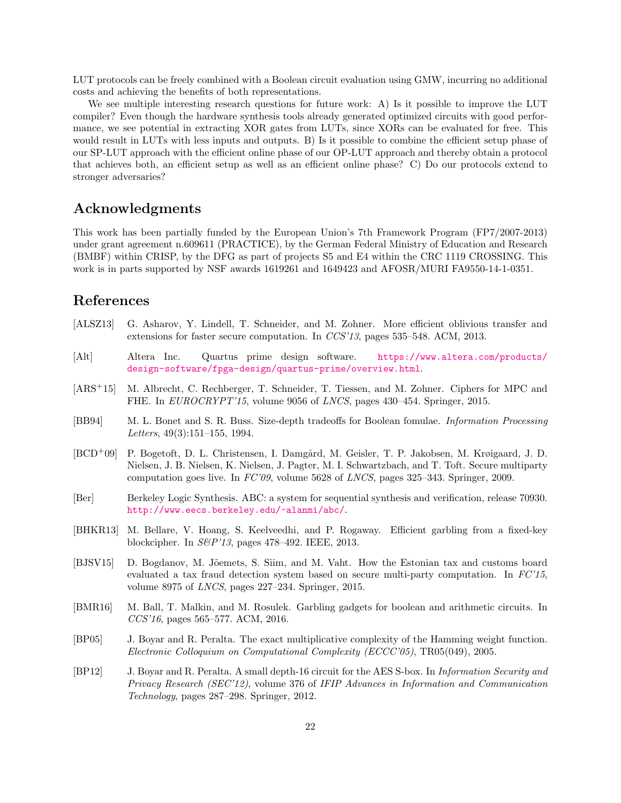LUT protocols can be freely combined with a Boolean circuit evaluation using GMW, incurring no additional costs and achieving the benefits of both representations.

We see multiple interesting research questions for future work: A) Is it possible to improve the LUT compiler? Even though the hardware synthesis tools already generated optimized circuits with good performance, we see potential in extracting XOR gates from LUTs, since XORs can be evaluated for free. This would result in LUTs with less inputs and outputs. B) Is it possible to combine the efficient setup phase of our SP-LUT approach with the efficient online phase of our OP-LUT approach and thereby obtain a protocol that achieves both, an efficient setup as well as an efficient online phase? C) Do our protocols extend to stronger adversaries?

# Acknowledgments

This work has been partially funded by the European Union's 7th Framework Program (FP7/2007-2013) under grant agreement n.609611 (PRACTICE), by the German Federal Ministry of Education and Research (BMBF) within CRISP, by the DFG as part of projects S5 and E4 within the CRC 1119 CROSSING. This work is in parts supported by NSF awards 1619261 and 1649423 and AFOSR/MURI FA9550-14-1-0351.

# References

- <span id="page-21-3"></span>[ALSZ13] G. Asharov, Y. Lindell, T. Schneider, and M. Zohner. More efficient oblivious transfer and extensions for faster secure computation. In CCS'13, pages 535–548. ACM, 2013.
- <span id="page-21-6"></span>[Alt] Altera Inc. Quartus prime design software. [https://www.altera.com/products/](https://www.altera.com/products/design-software/fpga-design/quartus-prime/overview.html) [design-software/fpga-design/quartus-prime/overview.html](https://www.altera.com/products/design-software/fpga-design/quartus-prime/overview.html).
- <span id="page-21-9"></span>[ARS+15] M. Albrecht, C. Rechberger, T. Schneider, T. Tiessen, and M. Zohner. Ciphers for MPC and FHE. In *EUROCRYPT'15*, volume 9056 of *LNCS*, pages 430–454. Springer, 2015.
- <span id="page-21-4"></span>[BB94] M. L. Bonet and S. R. Buss. Size-depth tradeoffs for Boolean fomulae. Information Processing Letters, 49(3):151–155, 1994.
- <span id="page-21-0"></span>[BCD<sup>+</sup>09] P. Bogetoft, D. L. Christensen, I. Damgård, M. Geisler, T. P. Jakobsen, M. Krøigaard, J. D. Nielsen, J. B. Nielsen, K. Nielsen, J. Pagter, M. I. Schwartzbach, and T. Toft. Secure multiparty computation goes live. In FC'09, volume 5628 of LNCS, pages 325–343. Springer, 2009.
- <span id="page-21-7"></span>[Ber] Berkeley Logic Synthesis. ABC: a system for sequential synthesis and verification, release 70930. <http://www.eecs.berkeley.edu/~alanmi/abc/>.
- <span id="page-21-2"></span>[BHKR13] M. Bellare, V. Hoang, S. Keelveedhi, and P. Rogaway. Efficient garbling from a fixed-key blockcipher. In S&P'13, pages 478–492. IEEE, 2013.
- <span id="page-21-1"></span>[BJSV15] D. Bogdanov, M. Jõemets, S. Siim, and M. Vaht. How the Estonian tax and customs board evaluated a tax fraud detection system based on secure multi-party computation. In  $FC'15$ , volume 8975 of LNCS, pages 227–234. Springer, 2015.
- <span id="page-21-10"></span>[BMR16] M. Ball, T. Malkin, and M. Rosulek. Garbling gadgets for boolean and arithmetic circuits. In CCS'16, pages 565–577. ACM, 2016.
- <span id="page-21-8"></span>[BP05] J. Boyar and R. Peralta. The exact multiplicative complexity of the Hamming weight function. Electronic Colloquium on Computational Complexity (ECCC'05), TR05(049), 2005.
- <span id="page-21-5"></span>[BP12] J. Boyar and R. Peralta. A small depth-16 circuit for the AES S-box. In Information Security and Privacy Research (SEC'12), volume 376 of IFIP Advances in Information and Communication Technology, pages 287–298. Springer, 2012.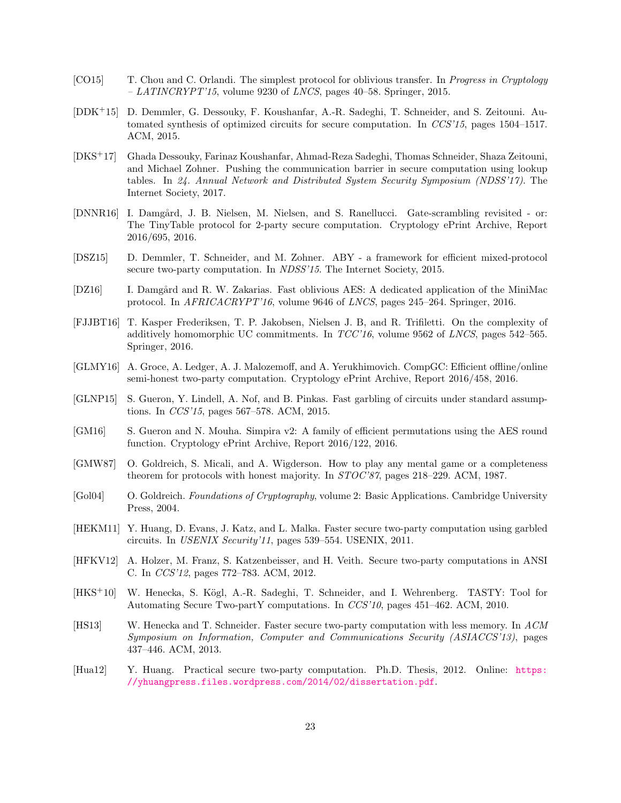- <span id="page-22-8"></span>[CO15] T. Chou and C. Orlandi. The simplest protocol for oblivious transfer. In Progress in Cryptology  $-$  LATINCRYPT'15, volume 9230 of LNCS, pages 40–58. Springer, 2015.
- <span id="page-22-6"></span>[DDK+15] D. Demmler, G. Dessouky, F. Koushanfar, A.-R. Sadeghi, T. Schneider, and S. Zeitouni. Automated synthesis of optimized circuits for secure computation. In CCS'15, pages 1504–1517. ACM, 2015.
- <span id="page-22-1"></span>[DKS+17] Ghada Dessouky, Farinaz Koushanfar, Ahmad-Reza Sadeghi, Thomas Schneider, Shaza Zeitouni, and Michael Zohner. Pushing the communication barrier in secure computation using lookup tables. In 24. Annual Network and Distributed System Security Symposium (NDSS'17). The Internet Society, 2017.
- <span id="page-22-14"></span>[DNNR16] I. Damgård, J. B. Nielsen, M. Nielsen, and S. Ranellucci. Gate-scrambling revisited - or: The TinyTable protocol for 2-party secure computation. Cryptology ePrint Archive, Report 2016/695, 2016.
- <span id="page-22-7"></span>[DSZ15] D. Demmler, T. Schneider, and M. Zohner. ABY - a framework for efficient mixed-protocol secure two-party computation. In NDSS'15. The Internet Society, 2015.
- <span id="page-22-3"></span>[DZ16] I. Damgård and R. W. Zakarias. Fast oblivious AES: A dedicated application of the MiniMac protocol. In AFRICACRYPT'16, volume 9646 of LNCS, pages 245–264. Springer, 2016.
- <span id="page-22-9"></span>[FJJBT16] T. Kasper Frederiksen, T. P. Jakobsen, Nielsen J. B, and R. Trifiletti. On the complexity of additively homomorphic UC commitments. In TCC'16, volume 9562 of LNCS, pages 542–565. Springer, 2016.
- <span id="page-22-15"></span>[GLMY16] A. Groce, A. Ledger, A. J. Malozemoff, and A. Yerukhimovich. CompGC: Efficient offline/online semi-honest two-party computation. Cryptology ePrint Archive, Report 2016/458, 2016.
- <span id="page-22-2"></span>[GLNP15] S. Gueron, Y. Lindell, A. Nof, and B. Pinkas. Fast garbling of circuits under standard assumptions. In CCS'15, pages 567–578. ACM, 2015.
- <span id="page-22-10"></span>[GM16] S. Gueron and N. Mouha. Simpira v2: A family of efficient permutations using the AES round function. Cryptology ePrint Archive, Report 2016/122, 2016.
- <span id="page-22-0"></span>[GMW87] O. Goldreich, S. Micali, and A. Wigderson. How to play any mental game or a completeness theorem for protocols with honest majority. In STOC'87, pages 218–229. ACM, 1987.
- <span id="page-22-5"></span>[Gol04] O. Goldreich. Foundations of Cryptography, volume 2: Basic Applications. Cambridge University Press, 2004.
- <span id="page-22-4"></span>[HEKM11] Y. Huang, D. Evans, J. Katz, and L. Malka. Faster secure two-party computation using garbled circuits. In USENIX Security'11, pages 539–554. USENIX, 2011.
- <span id="page-22-16"></span>[HFKV12] A. Holzer, M. Franz, S. Katzenbeisser, and H. Veith. Secure two-party computations in ANSI C. In CCS'12, pages 772–783. ACM, 2012.
- <span id="page-22-12"></span>[HKS<sup>+</sup>10] W. Henecka, S. Kögl, A.-R. Sadeghi, T. Schneider, and I. Wehrenberg. TASTY: Tool for Automating Secure Two-partY computations. In CCS'10, pages 451–462. ACM, 2010.
- <span id="page-22-13"></span>[HS13] W. Henecka and T. Schneider. Faster secure two-party computation with less memory. In ACM Symposium on Information, Computer and Communications Security (ASIACCS'13), pages 437–446. ACM, 2013.
- <span id="page-22-11"></span>[Hua12] Y. Huang. Practical secure two-party computation. Ph.D. Thesis, 2012. Online: [https:](https://yhuangpress.files.wordpress.com/2014/02/dissertation.pdf) [//yhuangpress.files.wordpress.com/2014/02/dissertation.pdf](https://yhuangpress.files.wordpress.com/2014/02/dissertation.pdf).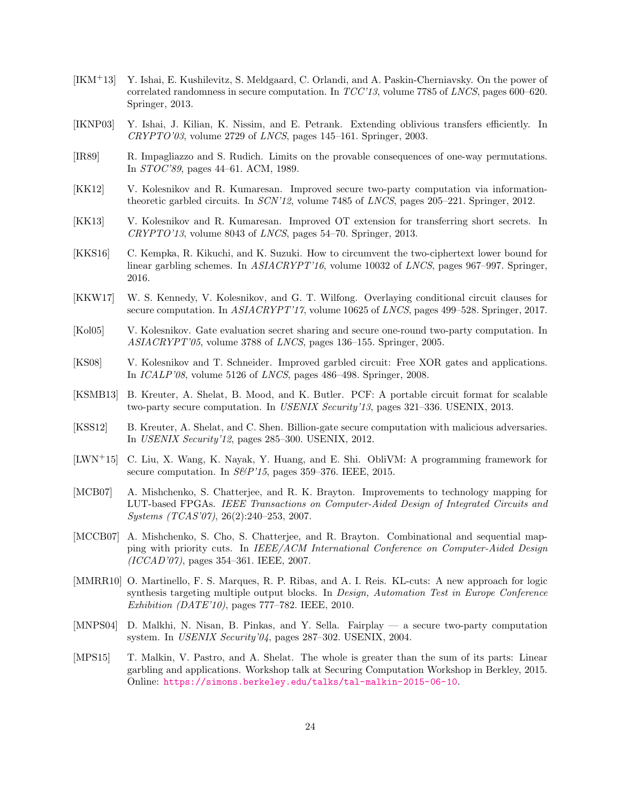- <span id="page-23-2"></span>[IKM+13] Y. Ishai, E. Kushilevitz, S. Meldgaard, C. Orlandi, and A. Paskin-Cherniavsky. On the power of correlated randomness in secure computation. In TCC'13, volume 7785 of LNCS, pages 600–620. Springer, 2013.
- <span id="page-23-6"></span>[IKNP03] Y. Ishai, J. Kilian, K. Nissim, and E. Petrank. Extending oblivious transfers efficiently. In  $CRYPTO'03$ , volume 2729 of  $LNCS$ , pages 145–161. Springer, 2003.
- <span id="page-23-5"></span>[IR89] R. Impagliazzo and S. Rudich. Limits on the provable consequences of one-way permutations. In STOC'89, pages 44–61. ACM, 1989.
- <span id="page-23-3"></span>[KK12] V. Kolesnikov and R. Kumaresan. Improved secure two-party computation via informationtheoretic garbled circuits. In SCN'12, volume 7485 of LNCS, pages 205–221. Springer, 2012.
- <span id="page-23-1"></span>[KK13] V. Kolesnikov and R. Kumaresan. Improved OT extension for transferring short secrets. In  $CRYPTO'13$ , volume 8043 of *LNCS*, pages 54–70. Springer, 2013.
- <span id="page-23-12"></span>[KKS16] C. Kempka, R. Kikuchi, and K. Suzuki. How to circumvent the two-ciphertext lower bound for linear garbling schemes. In  $ASIACRYPT'16$ , volume 10032 of LNCS, pages 967–997. Springer, 2016.
- <span id="page-23-14"></span>[KKW17] W. S. Kennedy, V. Kolesnikov, and G. T. Wilfong. Overlaying conditional circuit clauses for secure computation. In ASIACRYPT'17, volume 10625 of LNCS, pages 499–528. Springer, 2017.
- <span id="page-23-13"></span>[Kol05] V. Kolesnikov. Gate evaluation secret sharing and secure one-round two-party computation. In ASIACRYPT'05, volume 3788 of LNCS, pages 136–155. Springer, 2005.
- <span id="page-23-0"></span>[KS08] V. Kolesnikov and T. Schneider. Improved garbled circuit: Free XOR gates and applications. In ICALP'08, volume 5126 of LNCS, pages 486–498. Springer, 2008.
- <span id="page-23-15"></span>[KSMB13] B. Kreuter, A. Shelat, B. Mood, and K. Butler. PCF: A portable circuit format for scalable two-party secure computation. In USENIX Security'13, pages 321-336. USENIX, 2013.
- <span id="page-23-8"></span>[KSS12] B. Kreuter, A. Shelat, and C. Shen. Billion-gate secure computation with malicious adversaries. In USENIX Security'12, pages 285–300. USENIX, 2012.
- <span id="page-23-16"></span>[LWN+15] C. Liu, X. Wang, K. Nayak, Y. Huang, and E. Shi. ObliVM: A programming framework for secure computation. In  $S\&P'15$ , pages 359-376. IEEE, 2015.
- <span id="page-23-10"></span>[MCB07] A. Mishchenko, S. Chatterjee, and R. K. Brayton. Improvements to technology mapping for LUT-based FPGAs. IEEE Transactions on Computer-Aided Design of Integrated Circuits and Systems (TCAS'07), 26(2):240–253, 2007.
- <span id="page-23-9"></span>[MCCB07] A. Mishchenko, S. Cho, S. Chatterjee, and R. Brayton. Combinational and sequential mapping with priority cuts. In IEEE/ACM International Conference on Computer-Aided Design (ICCAD'07), pages 354–361. IEEE, 2007.
- <span id="page-23-11"></span>[MMRR10] O. Martinello, F. S. Marques, R. P. Ribas, and A. I. Reis. KL-cuts: A new approach for logic synthesis targeting multiple output blocks. In Design, Automation Test in Europe Conference Exhibition (DATE'10), pages 777–782. IEEE, 2010.
- <span id="page-23-7"></span>[MNPS04] D. Malkhi, N. Nisan, B. Pinkas, and Y. Sella. Fairplay — a secure two-party computation system. In USENIX Security'04, pages 287–302. USENIX, 2004.
- <span id="page-23-4"></span>[MPS15] T. Malkin, V. Pastro, and A. Shelat. The whole is greater than the sum of its parts: Linear garbling and applications. Workshop talk at Securing Computation Workshop in Berkley, 2015. Online: <https://simons.berkeley.edu/talks/tal-malkin-2015-06-10>.